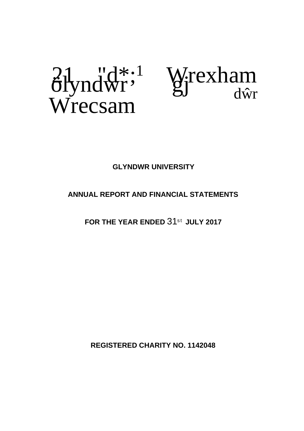# $\frac{\partial^2 \psi}{\partial x^2}$  Wrexham Wrecsam



# **GLYNDWR UNIVERSITY**

# **ANNUAL REPORT AND FINANCIAL STATEMENTS**

**FOR THE YEAR ENDED** 31st **JULY 2017**

**REGISTERED CHARITY NO. 1142048**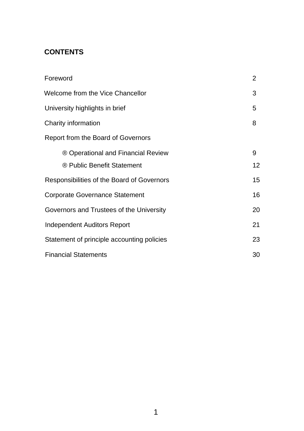# **CONTENTS**

| Foreword                                   | $\overline{2}$ |
|--------------------------------------------|----------------|
| <b>Welcome from the Vice Chancellor</b>    | 3              |
| University highlights in brief             | 5              |
| Charity information                        | 8              |
| Report from the Board of Governors         |                |
| ® Operational and Financial Review         | 9              |
| <sup>®</sup> Public Benefit Statement      | 12             |
| Responsibilities of the Board of Governors | 15             |
| <b>Corporate Governance Statement</b>      | 16             |
| Governors and Trustees of the University   | 20             |
| <b>Independent Auditors Report</b>         | 21             |
| Statement of principle accounting policies | 23             |
| <b>Financial Statements</b>                | 30             |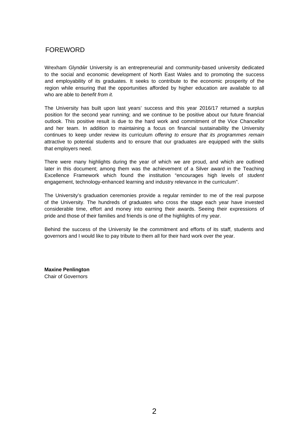## <span id="page-2-0"></span>FOREWORD

Wrexham Glynd r University is an entrepreneurial and community-based university dedicated to the social and economic development of North East Wales and to promoting the success and employability of its graduates. It seeks to contribute to the economic prosperity of the region while ensuring that the opportunities afforded by higher education are available to all who are able to *benefit from it.*

The University has built upon last years' success and this year 2016/17 returned a surplus position for the second year running; and we continue to be positive about our future financial outlook. This positive result is due to the hard work and commitment of the Vice Chancellor and her team. In addition to maintaining a focus on financial sustainability the University continues to keep under review its curriculum *offering to ensure that its programmes remain* attractive to potential students and to ensure that our graduates are equipped with the skills that employers need.

There were many highlights during the year of which we are proud, and which are outlined later in this document; among them was the achievement of a Silver award in the Teaching Excellence Framework which found the institution "encourages high levels of *student* engagement, technology-enhanced learning and industry relevance in the curriculum".

The University's graduation ceremonies provide a regular reminder to me of the real purpose of the University. The hundreds of graduates who cross the stage each year have invested considerable time, effort and money into earning their awards. Seeing their expressions of pride and those of their families and friends is one of the highlights of my year.

Behind the success of the University lie the commitment and efforts of its staff, students and governors and I would like to pay tribute to them all for their hard work over the year.

**Maxine Penlington** Chair of Governors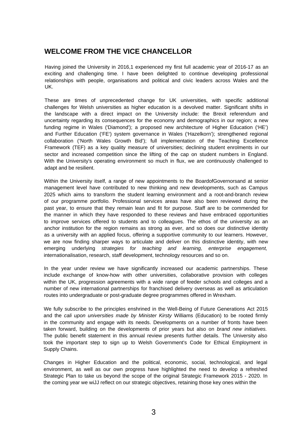# **WELCOME FROM THE VICE CHANCELLOR**

Having joined the University in 2016,1 experienced my first full academic year of 2016-17 as an exciting and challenging time. I have been delighted to continue developing professional relationships with people, organisations and political and civic leaders across Wales and the UK.

These are times of unprecedented change for UK universities, with specific additional challenges for Welsh universities as higher education is a devolved matter. Significant shifts in the landscape with a direct impact on the University include: the Brexit referendum and uncertainty regarding its consequences for the economy and demographics in our region; a new funding regime in Wales ('Diamond'); a proposed new architecture of Higher Education ('HE') and Further Education ('FE') system governance in Wales ('Hazelkorn'); strengthened regional collaboration ('North Wales Growth Bid'); full implementation of the Teaching Excellence Framework (TEF) as a key quality measure of universities; declining student enrolments in our sector and increased competition since the lifting of the cap on student numbers in England. With the University's operating environment so much in flux, we are continuously challenged to adapt and be resilient.

Within the University itself, a range of new appointments to the BoardofGovernorsand at senior management level have contributed to new thinking and new developments, such as Campus 2025 which aims to transform the student learning environment and a root-and-branch review of our programme portfolio. Professional services areas have also been reviewed during the past year, to ensure that they remain lean and fit for purpose. Staff are to be commended for the manner in which they have responded to these reviews and have embraced opportunities to improve services offered to students and to colleagues. The ethos of the university as an anchor institution for the region remains as strong as ever, and so does our distinctive identity as a university with an applied focus, offering a supportive community to our learners. However, we are now finding sharper ways to articulate and deliver on this distinctive identity, with new emerging underlying *strategies for teaching and learning, enterprise engagement,* internationalisation, research, staff development, technology resources and so on.

In the year under review we have significantly increased our academic partnerships. These include exchange of know-how with other universities, collaborative provision with colleges within the UK, progression agreements with a wide range of feeder schools and colleges and a number of new international partnerships for franchised delivery overseas as well as articulation routes into undergraduate or post-graduate degree programmes offered in Wrexham.

We fully subscribe to the principles enshrined in the Well-Being of Future Generations Act 2015 and the *cali upon universities made by Minister Kirsty* Williams (Education) to be rooted firmly in the community and engage with its needs. Developments on a number of fronts have been taken forward, building on the developments of prior years but also on *brand new initiatives.* The public benefit statement in this annual review presents further details. The University also took the important step to sign up to Welsh Government's Code for Ethical Employment in Supply Chains.

Changes in Higher Education and the political, economic, social, technological, and legal environment, as well as our own progress have highlighted the need to develop a refreshed Strategic Plan to take us beyond the scope of the original Strategic Framework 2015 - 2020. In the coming year we wiJJ reflect on our strategic objectives, retaining those key ones within the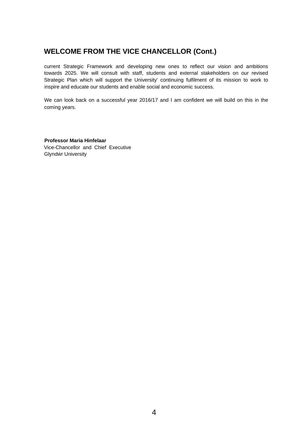# **WELCOME FROM THE VICE CHANCELLOR (Cont.)**

current Strategic Framework and developing new ones to reflect our vision and ambitions towards 2025. We will consult with staff, students and external stakeholders on our revised Strategic Plan which will support the University' continuing fulfilment of its mission to work to inspire and educate our students and enable social and economic success.

We can look back on a successful year 2016/17 and I am confident we will build on this in the coming years.

**Professor Maria Hinfelaar** Vice-Chancellor and Chief Executive Glynd r University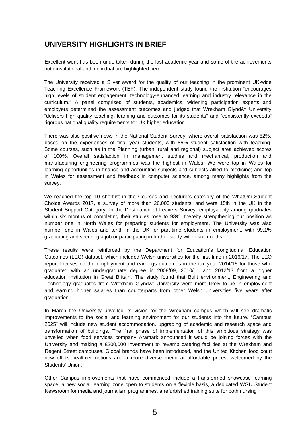# **UNIVERSITY HIGHLIGHTS IN BRIEF**

Excellent work has been undertaken during the last academic year and some of the achievements both institutional and individual are highlighted here.

The University received a Silver award for the quality of our teaching in the prominent UK-wide Teaching Excellence Framework (TEF). The independent study found the institution "encourages high levels of student engagement, technology-enhanced learning and industry relevance in the curriculum." A panel comprised of students, academics, widening participation experts and employers determined the assessment outcomes and judged that Wrexham Glynd r University "delivers high quality teaching, learning and outcomes for its students" and "consistently exceeds" rigorous national quality requirements for UK higher education.

There was also positive news in the National Student Survey, where overall satisfaction was 82%, based on the experiences of final year students, with 85% student satisfaction with teaching. Some courses, such as in the Planning (urban, rural and regional) subject area achieved scores of 100%. Overall satisfaction in management studies and mechanical, production and manufacturing engineering programmes was the highest in Wales. We were top in Wales for learning opportunities in finance and accounting subjects and subjects allied to medicine; and top in Wales for assessment and feedback in computer science, among many highlights from the survey.

We reached the top 10 shortlist in the Courses and Lecturers category of the WhatUni Student Choice Awards 2017, a survey of more than 26,000 students; and were 15th in the UK in the Student Support Category. In the Destination of Leavers Survey, employability among graduates within six months of completing their studies rose to 93%, thereby strengthening our position as number one in North Wales for preparing students for employment. The University was also number one in Wales and tenth in the UK for part-time students in employment, with 99.1% graduating and securing a job or participating in further study within six months.

These results were reinforced by the Department for Education's Longitudinal Education Outcomes (LEO) dataset, which included Welsh universities for the first time in 2016/17. The LEO report focuses on the employment and earnings outcomes in the tax year 2014/15 for those who graduated with an undergraduate degree in 2008/09, 2010/11 and 2012/13 from a higher education institution in Great Britain. The study found that Built environment, Engineering and Technology graduates from Wrexham Glynd r University were more likely to be in employment and earning higher salaries than counterparts from other Welsh universities five years after graduation.

In March the University unveiled its vision for the Wrexham campus which will see dramatic improvements to the social and learning environment for our students into the future. "Campus 2025" will include new student accommodation, upgrading of academic and research space and transformation of buildings. The first phase of implementation of this ambitious strategy was unveiled when food services company Aramark announced it would be joining forces with the University and making a £200,000 investment to revamp catering facilities at the Wrexham and Regent Street campuses. Global brands have been introduced, and the United Kitchen food court now offers healthier options and a more diverse menu at affordable prices, welcomed by the Students' Union.

Other Campus improvements that have commenced include a transformed showcase learning space, a new social learning zone open to students on a flexible basis, a dedicated WGU Student Newsroom for media and journalism programmes, a refurbished training suite for both nursing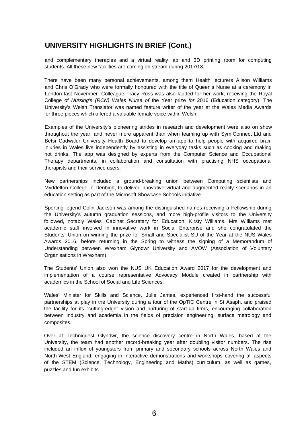# **UNIVERSITY HIGHLIGHTS IN BRIEF (Cont.)**

and complementary therapies and a virtual reality lab and 3D printing room for computing students. All these new facilities are coming on stream during 2017/18.

There have been many personal achievements, among them Health lecturers Alison Williams and Chris O'Grady who were formally honoured with the title of Queen's Nurse at a ceremony in London last November. Colleague Tracy Ross was also lauded for her work, receiving the Royal College of *Nursing's (RCN) Wales Nurse of* the Year prize *for* 2016 (Education category). The University's Welsh Translator was named feature writer of the year at the Wales Media Awards for three pieces which offered a valuable female voice within Welsh.

Examples of the University's pioneering strides in research and development were also on show throughout the year, and never more apparent than when teaming up with SymIConnect Ltd and Betsi Cadwaldr University Health Board to develop an app to help people with acquired brain injuries in Wales live independently by assisting in everyday tasks such as cooking and making hot drinks. The app was designed by experts from the Computer Science and Occupational Therapy departments, in collaboration and consultation with practising NHS occupational therapists and their service users.

New partnerships included a ground-breaking union between Computing scientists and Myddelton College in Denbigh, to deliver innovative virtual and augmented reality scenarios in an education setting as part of the Microsoft Showcase Schools initiative.

Sporting legend Colin Jackson was among the distinguished names receiving a Fellowship during the University's autumn graduation sessions, and more high-profile visitors to the University followed, notably Wales' Cabinet Secretary for Education, Kirsty Williams. Mrs Williams met academic staff involved in innovative work in Social Enterprise and she congratulated the Students' Union on winning the prize for Small and Specialist SU of the Year at the NUS Wales Awards 2016, before returning in the Spring to witness the signing of a Memorandum of Understanding between Wrexham Glyndwr University and AVOW (Association of Voluntary Organisations in Wrexham).

The Students' Union also won the NUS UK Education Award 2017 for the development and implementation of a course representative Advocacy Module created in partnership with academics in the School of Social and Life Sciences.

Wales' Minister for Skills and Science, Julie James, experienced first-hand the successful partnerships at play in the University during a tour of the OpTIC Centre in St Asaph, and praised the facility for its "cutting-edge" vision and nurturing of start-up firms, encouraging collaboration between industry and academia in the fields of precision engineering, surface metrology and composites.

Over at Techniquest Glynd r, the science discovery centre in North Wales, based at the University, the team had another record-breaking year after doubling visitor numbers. The rise included an influx of youngsters from primary and secondary schools across North Wales and North-West England, engaging in interactive demonstrations and workshops covering all aspects of the STEM (Science, Technology, Engineering and Maths) curriculum, as well as games, puzzles and fun exhibits.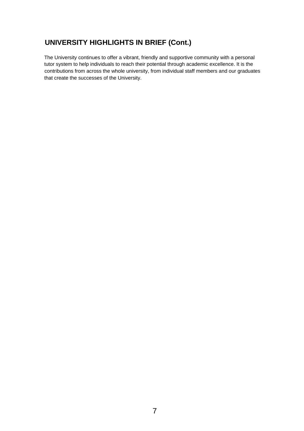# **UNIVERSITY HIGHLIGHTS IN BRIEF (Cont.)**

The University continues to offer a vibrant, friendly and supportive community with a personal tutor system to help individuals to reach their potential through academic excellence. It is the contributions from across the whole university, from individual staff members and our graduates that create the successes of the University.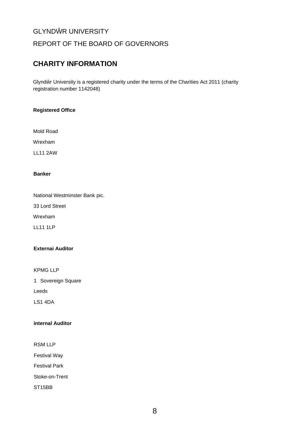## REPORT OF THE BOARD OF GOVERNORS

# **CHARITY INFORMATION**

Glynd r University is a registered charity under the terms of the Charities Act 2011 (charity registration number 1142048)

## **Registered Office**

Mold Road

Wrexham

LL11 2AW

## **Banker**

National Westminster Bank pic.

33 Lord Street

Wrexham

LL11 1LP

## **Externai Auditor**

KPMG LLP

1 Sovereign Square

Leeds

LS1 4DA

## **internal Auditor**

RSM LLP

Festival Way

Festival Park

Stoke-on-Trent

ST15BB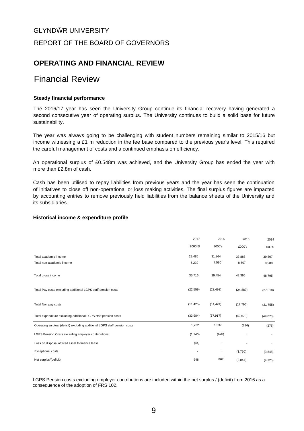# GLYND R UNIVERSITY REPORT OF THE BOARD OF GOVERNORS

# **OPERATING AND FINANCIAL REVIEW**

# Financial Review

## **Steady financial performance**

The 2016/17 year has seen the University Group continue its financial recovery having generated a second consecutive year of operating surplus. The University continues to build a solid base for future sustainability.

The year was always going to be challenging with student numbers remaining similar to 2015/16 but income witnessing a £1 m reduction in the fee base compared to the previous year's level. This required the careful management of costs and a continued emphasis on efficiency.

An operational surplus of £0.548m was achieved, and the University Group has ended the year with more than £2.8m of cash.

Cash has been utilised to repay liabilities from previous years and the year has seen the continuation of initiatives to close off non-operational or loss making activities. The final surplus figures are impacted by accounting entries to remove previously held liabilities from the balance sheets of the University and its subsidiaries.

## **Historical income & expenditure profile**

|                                                                            | 2017      | 2016      | 2015      | 2014      |
|----------------------------------------------------------------------------|-----------|-----------|-----------|-----------|
|                                                                            | £000*S    | £000's    | £000's    | £000'S    |
| Total academic income                                                      | 29,486    | 31,864    | 33,888    | 39,807    |
| Total non-academic income                                                  | 6,230     | 7,590     | 8,507     | 8,988     |
| Total gross income                                                         | 35,716    | 39,454    | 42,395    | 48,795    |
| Total Pay costs excluding additional LGPS staff pension costs              | (22, 559) | (23, 493) | (24, 883) | (27, 318) |
| Total Non pay costs                                                        | (11, 425) | (14, 424) | (17, 796) | (21, 755) |
| Total expenditure excluding additional LGPS staff pension costs            | (33,984)  | (37, 917) | (42, 679) | (49,073)  |
| Operating surplus/ (deficit) excluding additional LGPS staff pension costs | 1,732     | 1,537     | (284)     | (278)     |
| LGPS Pension Costs excluding employer contributions                        | (1, 140)  | (670)     |           |           |
| Loss on disposal of fixed asset to finance lease                           | (44)      |           |           |           |
| <b>Exceptional costs</b>                                                   |           | ٠         | (1,760)   | (3,848)   |
| Net surplus/(deficit)                                                      | 548       | 867       | (2,044)   | (4, 126)  |

LGPS Pension costs excluding employer contributions are included within the net surplus / (deficit) from 2016 as a consequence of the adoption of FRS 102.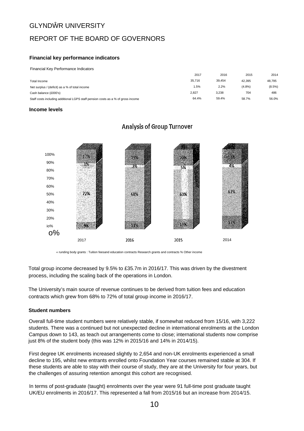# REPORT OF THE BOARD OF GOVERNORS

## **Financial key performance indicators**

Financial Key Performance Indicators

|                                                                                  | 2017   | 2016   | 2015      | 2014      |
|----------------------------------------------------------------------------------|--------|--------|-----------|-----------|
| Total Income                                                                     | 35.716 | 39.454 | 42.395    | 48.795    |
| Net surplus / (deficit) as a % of total income                                   | 1.5%   | 2.2%   | $(4.8\%)$ | $(8.5\%)$ |
| Cash balance (£000's)                                                            | 2.827  | 3.238  | 704       | 486       |
| Staff costs including additional LGPS staff pension costs as a % of gross income | 64.4%  | 59.4%  | 58.7%     | 56.0%     |

#### **Income levels**



## **Analysis of Group Turnover**

« runding body grants : Tuition feesand education contracts Research grants and contracts % Other income

Total group income decreased by 9.5% to £35.7m in 2016/17. This was driven by the divestment process, including the scaling back of the operations in London.

The University's main source of revenue continues to be derived from tuition fees and education contracts which grew from 68% to 72% of total group income in 2016/17.

## **Student numbers**

Overall full-time student numbers were relatively stable, if somewhat reduced from 15/16, with 3,222 students. There was a continued but not unexpected decline in international enrolments at the London Campus down to 143, as teach out arrangements come to close; international students now comprise just 8% of the student body (this was 12% in 2015/16 and 14% in 2014/15).

First degree UK enrolments increased slightly to 2,654 and non-UK enrolments experienced a small decline to 195, whilst new entrants enrolled onto Foundation Year courses remained stable at 304. If these students are able to stay with their course of study, they are at the University for four years, but the challenges of assuring retention amongst this cohort are recognised.

In terms of post-graduate (taught) enrolments over the year were 91 full-time post graduate taught UK/EU enrolments in 2016/17. This represented a fall from 2015/16 but an increase from 2014/15.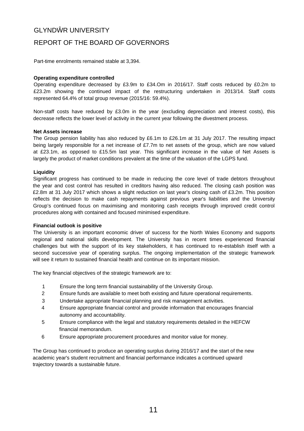## REPORT OF THE BOARD OF GOVERNORS

Part-time enrolments remained stable at 3,394.

#### **Operating expenditure controlled**

Operating expenditure decreased by £3.9m to £34.Om in 2016/17. Staff costs reduced by £0.2m to £23.2m showing the continued impact of the restructuring undertaken in 2013/14. Staff costs represented 64.4% of total group revenue (2015/16: 59.4%).

Non-staff costs have reduced by £3.0m in the year (excluding depreciation and interest costs), this decrease reflects the lower level of activity in the current year following the divestment process.

#### **Net Assets increase**

The Group pension liability has also reduced by £6.1m to £26.1m at 31 July 2017. The resulting impact being largely responsible for a net increase of £7.7m to net assets of the group, which are now valued at £23.1m, as opposed to £15.5m last year. This significant increase in the value of Net Assets is largely the product of market conditions prevalent at the time of the valuation of the LGPS fund.

#### **Liquidity**

Significant progress has continued to be made in reducing the core level of trade debtors throughout the year and cost control has resulted in creditors having also reduced. The closing cash position was £2.8m at 31 July 2017 which shows a slight reduction on last year's closing cash of £3.2m. This position reflects the decision to make cash repayments against previous year's liabilities and the University Group's continued focus on maximising and monitoring cash receipts through improved credit control procedures along with contained and focused minimised expenditure.

#### **Financial outlook is positive**

The University is an important economic driver of success for the North Wales Economy and supports regional and national skills development. The University has in recent times experienced financial challenges but with the support of its key stakeholders, it has continued to re-establish itself with a second successive year of operating surplus. The ongoing implementation of the strategic framework will see it return to sustained financial health and continue on its important mission.

The key financial objectives of the strategic framework are to:

- 1 Ensure the long term financial sustainability of the University Group.
- 2 Ensure funds are available to meet both existing and future operational requirements.
- 3 Undertake appropriate financial planning and risk management activities.
- 4 Ensure appropriate financial control and provide information that encourages financial autonomy and accountability.
- 5 Ensure compliance with the legal and statutory requirements detailed in the HEFCW financial memorandum.
- 6 Ensure appropriate procurement procedures and monitor value for money.

The Group has continued to produce an operating surplus during 2016/17 and the start of the new academic year's student recruitment and financial performance indicates a continued upward trajectory towards a sustainable future.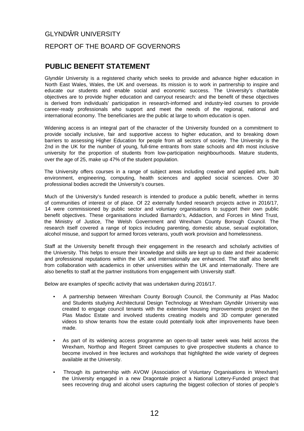# GLYND R UNIVERSITY REPORT OF THE BOARD OF GOVERNORS

# **PUBLIC BENEFIT STATEMENT**

Glynd r University is a registered charity which seeks to provide and advance higher education in North East Wales, Wales, the UK and overseas. Its mission is to work in partnership to inspire and educate our students and enable social and economic success. The University's charitable objectives are to provide higher education and carryout research: and the benefit of these objectives is derived from individuals' participation in research-informed and industry-led courses to provide career-ready professionals who support and meet the needs of the regional, national and international economy. The beneficiaries are the public at large to whom education is open.

Widening access is an integral part of the character of the University founded on a commitment to provide socially inclusive, fair and supportive access to higher education, and to breaking down barriers to assessing Higher Education for people from all sectors of society. The University is the 2nd in the UK for the number of young, full-time entrants from state schools and 4th most inclusive university for the proportion of students from low-participation neighbourhoods. Mature students, over the age of 25, make up 47% of the student population.

The University offers courses in a range of subject areas including creative and applied arts, built environment, engineering, computing, health sciences and applied social sciences. Over 30 professional bodies accredit the University's courses.

Much of the University's funded research is intended to produce a public benefit, whether in terms of communities of interest or of place. Of 22 externally funded research projects active in 2016/17, 14 were commissioned by public sector and voluntary organisations to support their own public benefit objectives. These organisations included Barnardo's, Addaction, and Forces in Mind Trust, the Ministry of Justice, The Welsh Government and Wrexham County Borough Council. The research itself covered a range of topics including parenting, domestic abuse, sexual exploitation, alcohol misuse, and support for armed forces veterans, youth work provision and homelessness.

Staff at the University benefit through their engagement in the research and scholarly activities of the University. This helps to ensure their knowledge and skills are kept up to date and their academic and professional reputations within the UK and internationally are enhanced. The staff also benefit from collaboration with academics in other universities within the UK and internationally. There are also benefits to staff at the partner institutions from engagement with University staff.

Below are examples of specific activity that was undertaken during 2016/17.

- A partnership between Wrexham County Borough Council, the Community at Plas Madoc and Students studying Architectural Design Technology at Wrexham Glynd r University was created to engage council tenants with the extensive housing improvements project on the Plas Madoc Estate and involved students creating models and 3D computer generated videos to show tenants how the estate could potentially look after improvements have been made.
- As part of its widening access programme an open-to-all taster week was held across the Wrexham, Northop and Regent Street campuses to give prospective students a chance to become involved in free lectures and workshops that highlighted the wide variety of degrees available at the University.
- Through its partnership with AVOW (Association of Voluntary Organisations in Wrexham) the University engaged in a new Dragontale project a National Lottery-Funded project that sees recovering drug and alcohol users capturing the biggest collection of stories of people's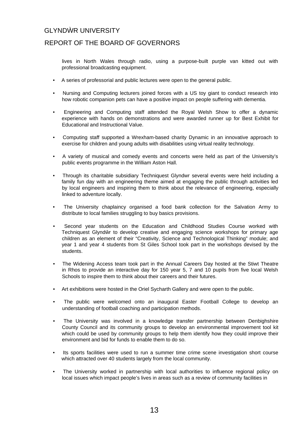## REPORT OF THE BOARD OF GOVERNORS

lives in North Wales through radio, using a purpose-built purple van kitted out with professional broadcasting equipment.

- A series of professorial and public lectures were open to the general public.
- Nursing and Computing lecturers joined forces with a US toy giant to conduct research into how robotic companion pets can have a positive impact on people suffering with dementia.
- Engineering and Computing staff attended the Royal Welsh Show to offer a dynamic experience with hands on demonstrations and were awarded runner up for Best Exhibit for Educational and Instructional Value.
- Computing staff supported a Wrexham-based charity Dynamic in an innovative approach to exercise for children and young adults with disabilities using virtual reality technology.
- A variety of musical and comedy events and concerts were held as part of the University's public events programme in the William Aston Hall.
- Through its charitable subsidiary Techniquest Glyndwr several events were held including a family fun day with an engineering theme aimed at engaging the public through activities led by local engineers and inspiring them to think about the relevance of engineering, especially linked to adventure locally.
- The University chaplaincy organised a food bank collection for the Salvation Army to distribute to local families struggling to buy basics provisions.
- Second year students on the Education and Childhood Studies Course worked with Techniquest Glynd r to develop creative and engaging science workshops for primary age children as an element of their "Creativity, Science and Technological Thinking" module; and year 1 and year 4 students from St Giles School took part in the workshops devised by the students.
- The Widening Access team took part in the Annual Careers Day hosted at the Stiwt Theatre in Rhos to provide an interactive day for 150 year 5, 7 and 10 pupils from five local Welsh Schools to inspire them to think about their careers and their futures.
- Art exhibitions were hosted in the Oriel Sycharth Gallery and were open to the public.
- The public were welcomed onto an inaugural Easter Football College to develop an understanding of football coaching and participation methods.
- The University was involved in a knowledge transfer partnership between Denbighshire County Council and its community groups to develop an environmental improvement tool kit which could be used by community groups to help them identify how they could improve their environment and bid for funds to enable them to do so.
- Its sports facilities were used to run a summer time crime scene investigation short course which attracted over 40 students largely from the local community.
- The University worked in partnership with local authorities to influence regional policy on local issues which impact people's lives in areas such as a review of community facilities in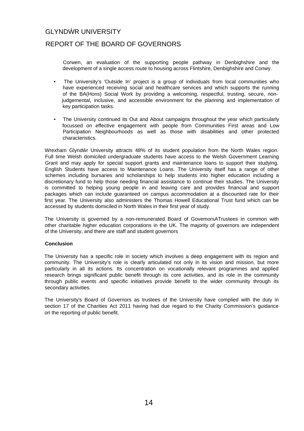## REPORT OF THE BOARD OF GOVERNORS

Corwen, an evaluation of the supporting people pathway in Denbighshire and the development of a single access route to housing across Flintshire, Denbighshire and Conwy.

- The University's 'Outside In' project is a group of individuals from local communities who have experienced receiving social and healthcare services and which supports the running of the BA(Hons) Social Work by providing a welcoming, respectful, trusting, secure, nonjudgemental, inclusive, and accessible environment for the planning and implementation of key participation tasks.
- The University continued its Out and About campaigns throughout the year which particularly focussed on effective engagement with people from Communities First areas and Low Participation Neighbourhoods as well as those with disabilities and other protected characteristics.

Wrexham Glynd r University attracts 48% of its student population from the North Wales region. Full time Welsh domiciled undergraduate students have access to the Welsh Government Learning Grant and may apply for special support grants and maintenance loans to support their studying. English Students have access to Maintenance Loans. The University itself has a range of other schemes including bursaries and scholarships to help students into higher education including a discretionary fund to help those needing financial assistance to continue their studies. The University is committed to helping young people in and leaving care and provides financial and support packages which can include guaranteed on campus accommodation at a discounted rate for their first year. The University also administers the Thomas Howell Educational Trust fund which can be accessed by students domiciled in North Wales in their first year of study.

The University is governed by a non-remunerated Board of GovemorsATrustees in common with other charitable higher education corporations in the UK. The majority of governors are independent of the University, and there are staff and student governors

## **Conclusion**

The University has a specific role in society which involves a deep engagement with its region and community. The University's role is clearly articulated not only in its vision and mission, but more particularly in all its actions. Its concentration on vocationally relevant programmes and applied research brings significant public benefit through its core activities, and its role in the community through public events and specific initiatives provide benefit to the wider community through its secondary activities.

The University's Board of Governors as trustees of the University have complied with the duty in section 17 of the Charities Act 2011 having had due regard to the Charity Commission's guidance on the reporting of public benefit.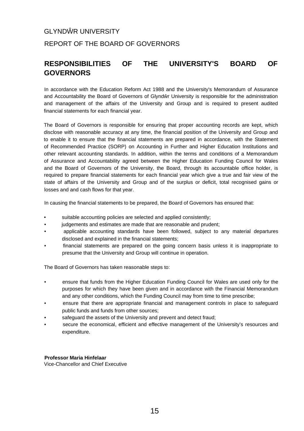# GLYND R UNIVERSITY REPORT OF THE BOARD OF GOVERNORS

# **RESPONSIBILITIES OF THE UNIVERSITY'S BOARD OF GOVERNORS**

In accordance with the Education Reform Act 1988 and the University's Memorandum of Assurance and Accountability the Board of Governors of Glynd r University is responsible for the administration and management of the affairs of the University and Group and is required to present audited financial statements for each financial year.

The Board of Governors is responsible for ensuring that proper accounting records are kept, which disclose with reasonable accuracy at any time, the financial position of the University and Group and to enable it to ensure that the financial statements are prepared in accordance, with the Statement of Recommended Practice (SORP) on Accounting in Further and Higher Education Institutions and other relevant accounting standards. In addition, within the terms and conditions of a Memorandum of Assurance and Accountability agreed between the Higher Education Funding Council for Wales and the Board of Governors of the University, the Board, through its accountable office holder, is required to prepare financial statements for each financial year which give a true and fair view of the state of affairs of the University and Group and of the surplus or deficit, total recognised gains or losses and and cash flows for that year.

In causing the financial statements to be prepared, the Board of Governors has ensured that:

- suitable accounting policies are selected and applied consistently;
- judgements and estimates are made that are reasonable and prudent;
- applicable accounting standards have been followed, subject to any material departures disclosed and explained in the financial statements;
- financial statements are prepared on the going concern basis unless it is inappropriate to presume that the University and Group will continue in operation.

The Board of Governors has taken reasonable steps to:

- ensure that funds from the Higher Education Funding Council for Wales are used only for the purposes for which they have been given and in accordance with the Financial Memorandum and any other conditions, which the Funding Council may from time to time prescribe;
- ensure that there are appropriate financial and management controls in place to safeguard public funds and funds from other sources;
- safeguard the assets of the University and prevent and detect fraud;
- secure the economical, efficient and effective management of the University's resources and expenditure.

## **Professor Maria Hinfelaar**

Vice-Chancellor and Chief Executive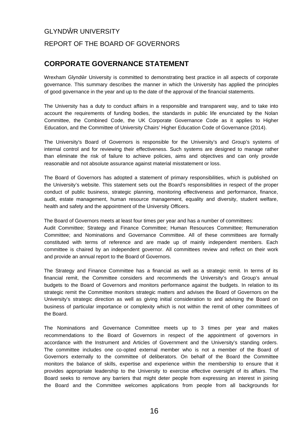# GLYND R UNIVERSITY REPORT OF THE BOARD OF GOVERNORS

# **CORPORATE GOVERNANCE STATEMENT**

Wrexham Glynd r University is committed to demonstrating best practice in all aspects of corporate governance. This summary describes the manner in which the University has applied the principles of good governance in the year and up to the date of the approval of the financial statements.

The University has a duty to conduct affairs in a responsible and transparent way, and to take into account the requirements of funding bodies, the standards in public life enunciated by the Nolan Committee, the Combined Code, the UK Corporate Governance Code as it applies to Higher Education, and the Committee of University Chairs' Higher Education Code of Governance (2014).

The University's Board of Governors is responsible for the University's and Group's systems of internal control and for reviewing their effectiveness. Such systems are designed to manage rather than eliminate the risk of failure to achieve policies, aims and objectives and can only provide reasonable and not absolute assurance against material misstatement or loss.

The Board of Governors has adopted a statement of primary responsibilities, which is published on the University's website. This statement sets out the Board's responsibilities in respect of the proper conduct of public business, strategic planning, monitoring effectiveness and performance, finance, audit, estate management, human resource management, equality and diversity, student welfare, health and safety and the appointment of the University Officers.

The Board of Governors meets at least four times per year and has a number of committees:

Audit Committee; Strategy and Finance Committee; Human Resources Committee; Remuneration Committee; and Nominations and Governance Committee. All of these committees are formally constituted with terms of reference and are made up of mainly independent members. Each committee is chaired by an independent governor. All committees review and reflect on their work and provide an annual report to the Board of Governors.

The Strategy and Finance Committee has a financial as well as a strategic remit. In terms of its financial remit, the Committee considers and recommends the University's and Group's annual budgets to the Board of Governors and monitors performance against the budgets. In relation to its strategic remit the Committee monitors strategic matters and advises the Board of Governors on the University's strategic direction as well as giving initial consideration to and advising the Board on business of particular importance or complexity which is not within the remit of other committees of the Board.

The Nominations and Governance Committee meets up to 3 times per year and makes recommendations to the Board of Governors in respect of the appointment of governors in accordance with the Instrument and Articles of Government and the University's standing orders. The committee includes one co-opted external member who is not a member of the Board of Governors externally to the committee of deliberators. On behalf of the Board the Committee monitors the balance of skills, expertise and experience within the membership to ensure that it provides appropriate leadership to the University to exercise effective oversight of its affairs. The Board seeks to remove any barriers that might deter people from expressing an interest in joining the Board and the Committee welcomes applications from people from all backgrounds for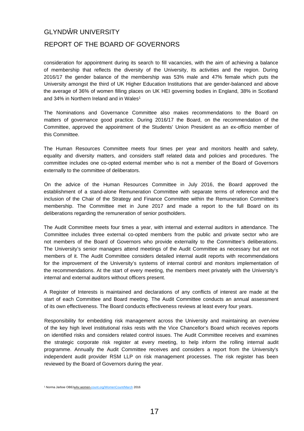## REPORT OF THE BOARD OF GOVERNORS

consideration for appointment during its search to fill vacancies, with the aim of achieving a balance of membership that reflects the diversity of the University, its activities and the region. During 2016/17 the gender balance of the membership was 53% male and 47% female which puts the University amongst the third of UK Higher Education Institutions that are gender-balanced and above the average of 36% of women filling places on UK HEI governing bodies in England, 38% in Scotland and 34% in Northern Ireland and in Wales<sup>[1](#page-17-0)</sup>

The Nominations and Governance Committee also makes recommendations to the Board on matters of governance good practice. During 2016/17 the Board, on the recommendation of the Committee, approved the appointment of the Students' Union President as an ex-officio member of this Committee.

The Human Resources Committee meets four times per year and monitors health and safety, equality and diversity matters, and considers staff related data and policies and procedures. The committee includes one co-opted external member who is not a member of the Board of Governors externally to the committee of deliberators.

On the advice of the Human Resources Committee in July 2016, the Board approved the establishment of a stand-alone Remuneration Committee with separate terms of reference and the inclusion of the Chair of the Strategy and Finance Committee within the Remuneration Committee's membership. The Committee met in June 2017 and made a report to the full Board on its deliberations regarding the remuneration of senior postholders.

The Audit Committee meets four times a year, with internal and external auditors in attendance. The Committee includes three external co-opted members from the public and private sector who are not members of the Board of Governors who provide externality to the Committee's deliberations. The University's senior managers attend meetings of the Audit Committee as necessary but are not members of it. The Audit Committee considers detailed internal audit reports with recommendations for the improvement of the University's systems of internal control and monitors implementation of the recommendations. At the start of every meeting, the members meet privately with the University's internal and external auditors without officers present.

A Register of Interests is maintained and declarations of any conflicts of interest are made at the start of each Committee and Board meeting. The Audit Committee conducts an annual assessment of its own effectiveness. The Board conducts effectiveness reviews at least every four years.

Responsibility for embedding risk management across the University and maintaining an overview of the key high level institutional risks rests with the Vice Chancellor's Board which receives reports on identified risks and considers related control issues. The Audit Committee receives and examines the strategic corporate risk register at every meeting, to help inform the rolling internal audit programme. Annually the Audit Committee receives and considers a report from the University's independent audit provider RSM LLP on risk management processes. The risk register has been reviewed by the Board of Governors during the year.

<span id="page-17-0"></span><sup>&</sup>lt;sup>1</sup> Norma Jarboe OBE/wAv.women[-count.org/WomenCount/March](count.org/WomenCount/March) 2016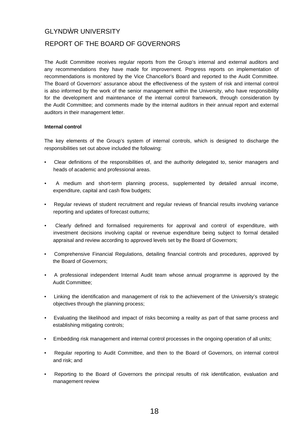## REPORT OF THE BOARD OF GOVERNORS

The Audit Committee receives regular reports from the Group's internal and external auditors and any recommendations they have made for improvement. Progress reports on implementation of recommendations is monitored by the Vice Chancellor's Board and reported to the Audit Committee. The Board of Governors' assurance about the effectiveness of the system of risk and internal control is also informed by the work of the senior management within the University, who have responsibility for the development and maintenance of the internal control framework, through consideration by the Audit Committee; and comments made by the internal auditors in their annual report and external auditors in their management letter.

#### **Internal control**

The key elements of the Group's system of internal controls, which is designed to discharge the responsibilities set out above included the following:

- Clear definitions of the responsibilities of, and the authority delegated to, senior managers and heads of academic and professional areas.
- A medium and short-term planning process, supplemented by detailed annual income, expenditure, capital and cash flow budgets;
- Regular reviews of student recruitment and regular reviews of financial results involving variance reporting and updates of forecast outturns;
- Clearly defined and formalised requirements for approval and control of expenditure, with investment decisions involving capital or revenue expenditure being subject to formal detailed appraisal and review according to approved levels set by the Board of Governors;
- Comprehensive Financial Regulations, detailing financial controls and procedures, approved by the Board of Governors;
- A professional independent Internal Audit team whose annual programme is approved by the Audit Committee;
- Linking the identification and management of risk to the achievement of the University's strategic objectives through the planning process;
- Evaluating the likelihood and impact of risks becoming a reality as part of that same process and establishing mitigating controls;
- Embedding risk management and internal control processes in the ongoing operation of all units;
- Regular reporting to Audit Committee, and then to the Board of Governors, on internal control and risk; and
- Reporting to the Board of Governors the principal results of risk identification, evaluation and management review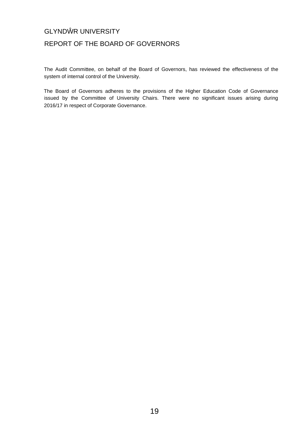# REPORT OF THE BOARD OF GOVERNORS

The Audit Committee, on behalf of the Board of Governors, has reviewed the effectiveness of the system of internal control of the University.

The Board of Governors adheres to the provisions of the Higher Education Code of Governance issued by the Committee of University Chairs. There were no significant issues arising during 2016/17 in respect of Corporate Governance.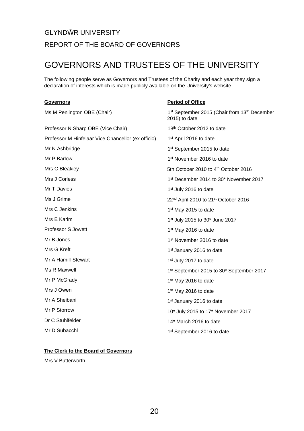# GLYND R UNIVERSITY REPORT OF THE BOARD OF GOVERNORS

# GOVERNORS AND TRUSTEES OF THE UNIVERSITY

The following people serve as Governors and Trustees of the Charity and each year they sign a declaration of interests which is made publicly available on the University's website.

#### **Governors** Ms M Penlington OBE (Chair) Professor N Sharp OBE (Vice Chair) Professor M Hinfelaar Vice Chancellor (ex officio) Mr N Ashbridge Mr P Barlow Mrs C Bleakiey Mrs J Corless Mr T Davies Ms J Grime Mrs C Jenkins Mrs E Karim Professor S Jowett Mr B Jones Mrs G Kreft Mr A Hamill-Stewart Ms R Maxwell Mr P McGrady Mrs J Owen Mr A Sheibani Mr P Storrow Dr C Stuhlfelder Mr D Subacchl **Period of Office** 1<sup>st</sup> September 2015 (Chair from 13<sup>th</sup> December 2015) to date 18<sup>th</sup> October 2012 to date 1 st April 2016 to date 1 st September 2015 to date 1 st November 2016 to date 5th October 2010 to 4<sup>th</sup> October 2016 1 st December 2014 to 30\* November 2017 1 st July 2016 to date 22<sup>nd</sup> April 2010 to 21<sup>st</sup> October 2016 1 st May 2015 to date 1 st July 2015 to 30\* June 2017 1 st May 2016 to date 1 s ' November 2016 to date 1<sup>sl</sup> January 2016 to date 1 st Juty 2017 to date 1 st September 2015 to 30\* September 2017 1 st May 2016 to date 1 st May 2016 to date 1<sup>st</sup> January 2016 to date 10\* July 2015 to 17\* November 2017 14\* March 2016 to date 1 sl September 2016 to date

## <span id="page-20-0"></span>**The Clerk to the Board of Governors**

Mrs V Butterworth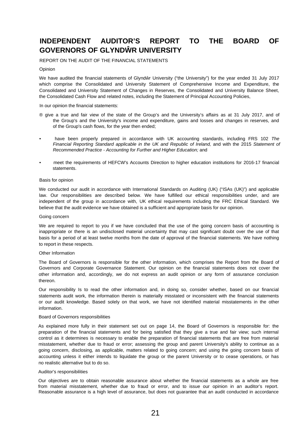# **INDEPENDENT AUDITOR'S REPORT TO THE BOARD OF GOVERNORS OF GLYND R UNIVERSITY**

REPORT ON THE AUDIT OF THE FINANCIAL STATEMENTS

#### Opinion

We have audited the financial statements of Glynd r University ("the University") for the year ended 31 July 2017 which comprise the Consolidated and University Statement of Comprehensive Income and Expenditure, the Consolidated and University Statement of Changes in Reserves, the Consolidated and University Balance Sheet, the Consolidated Cash Flow and related notes, including the Statement of Principal Accounting Policies,

In our opinion the financial statements:

- ® give a true and fair view of the state of the Group's and the University's affairs as at 31 July 2017, and of the Group's and the University's income and expenditure, gains and losses and changes in reserves, and of the Group's cash flows, for the year then ended;
- have been properly prepared in accordance with UK accounting standards, including FRS 102 *The Financial Reporting Standard applicable in the UK and Republic of Ireland,* and with the 2015 *Statement of Recommended Practice - Accounting for Further and Higher Education;* and
- meet the requirements of HEFCW's Accounts Direction to higher education institutions for 2016-17 financial statements.

#### Basis for opinion

We conducted our audit in accordance with International Standards on Auditing (UK) ("ISAs (UK)") and applicable law. Our responsibilities are described below. We have fulfilled our ethical responsibilities under, and are independent of the group in accordance with, UK ethical requirements including the FRC Ethical Standard. We believe that the audit evidence we have obtained is a sufficient and appropriate basis for our opinion.

#### Going concern

We are required to report to you if we have concluded that the use of the going concern basis of accounting is inappropriate or there is an undisclosed material uncertainty that may cast significant doubt over the use of that basis for a period of at least twelve months from the date of approval of the financial statements. We have nothing to report in these respects.

#### Other Information

The Board of Governors is responsible for the other information, which comprises the Report from the Board of Governors and Corporate Governance Statement. Our opinion on the financial statements does not cover the other information and, accordingly, we do not express an audit opinion or any form of assurance conclusion thereon.

Our responsibility Is to read the other information and, in doing so, consider whether, based on our financial statements audit work, the information therein is materially misstated or inconsistent with the financial statements or our audit knowledge. Based solely on that work, we have not identified material misstatements in the other information.

#### Board of Governors responsibilities

As explained more fully in their statement set out on page 14, the Board of Governors is responsible for: the preparation of the financial statements and for being satisfied that they give a true and fair view; such internal control as it determines is necessary to enable the preparation of financial statements that are free from material misstatement, whether due to fraud or error; assessing the group and parent University's ability to continue as a going concern, disclosing, as applicable, matters related to going concern; and using the going concern basis of accounting unless it either intends to liquidate the group or the parent University or to cease operations, or has no realistic alternative but to do so.

#### Auditor's responsibilities

Our objectives are to obtain reasonable assurance about whether the financial statements as a whole are free from material misstatement, whether due to fraud or error, and to issue our opinion in an auditor's report. Reasonable assurance is a high level of assurance, but does not guarantee that an audit conducted in accordance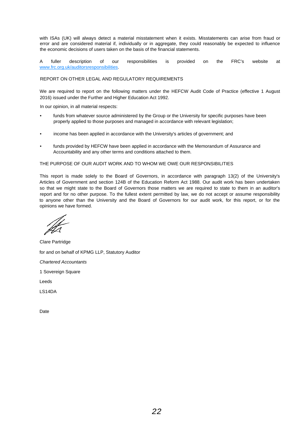with ISAs (UK) will always detect a material misstatement when it exists. Misstatements can arise from fraud or error and are considered material if, individually or in aggregate, they could reasonably be expected to influence the economic decisions of users taken on the basis of the financial statements.

A fuller description of our responsibilities is provided on the FRC's website at [www.frc.org.uk/auditorsresponsibilities.](http://www.frc.org.uk/auditorsresponsibilities)

#### REPORT ON OTHER LEGAL AND REGULATORY REQUIREMENTS

We are required to report on the following matters under the HEFCW Audit Code of Practice (effective 1 August 2016) issued under the Further and Higher Education Act 1992.

In our opinion, in all material respects:

- funds from whatever source administered by the Group or the University for specific purposes have been properly applied to those purposes and managed in accordance with relevant legislation;
- income has been applied in accordance with the University's articles of government; and
- funds provided by HEFCW have been applied in accordance with the Memorandum of Assurance and Accountability and any other terms and conditions attached to them.

#### THE PURPOSE OF OUR AUDIT WORK AND TO WHOM WE OWE OUR RESPONSIBILITIES

This report is made solely to the Board of Governors, in accordance with paragraph 13(2) of the University's Articles of Government and section 124B of the Education Reform Act 1988. Our audit work has been undertaken so that we might state to the Board of Governors those matters we are required to state to them in an auditor's report and for no other purpose. To the fullest extent permitted by law, we do not accept or assume responsibility to anyone other than the University and the Board of Governors for our audit work, for this report, or for the opinions we have formed.

Clare Partridge for and on behalf of KPMG LLP, Statutory Auditor *Chartered Accountants* 1 Sovereign Square Leeds LS14DA Date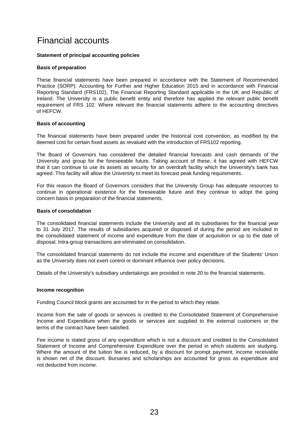# Financial accounts

## **Statement of principal accounting policies**

## **Basis of preparation**

These financial statements have been prepared in accordance with the Statement of Recommended Practice (SORP): Accounting for Further and Higher Education 2015 and in accordance with Financial Reporting Standard (FRS102), The Financial Reporting Standard applicable in the UK and Republic of Ireland. The University is a public benefit entity and therefore has applied the relevant public benefit requirement of FRS 102. Where relevant the financial statements adhere to the accounting directives of HEFCW.

## **Basis of accounting**

The financial statements have been prepared under the historical cost convention, as modified by the deemed cost for certain fixed assets as revalued with the introduction of FRS102 reporting.

The Board of Governors has considered the detailed financial forecasts and cash demands of the University and group for the foreseeable future. Taking account of these, it has agreed with HEFCW that it can continue to use its assets as security for an overdraft facility which the University's bank has agreed. This facility will allow the University to meet its forecast peak funding requirements.

For this reason the Board of Governors considers that the University Group has adequate resources to continue in operational existence for the foreseeable future and they continue to adopt the going concern basis in preparation of the financial statements.

## **Basis of consolidation**

The consolidated financial statements include the University and all its subsidiaries for the financial year to 31 July 2017. The results of subsidiaries acquired or disposed of during the period are included in the consolidated statement of income and expenditure from the date of acquisition or up to the date of disposal. Intra-group transactions are eliminated on consolidation.

The consolidated financial statements do not include the income and expenditure of the Students' Union as the University does not exert control or dominant influence over policy decisions.

Details of the University's subsidiary undertakings are provided in note 20 to the financial statements.

## **Income recognition**

Funding Council block grants are accounted for in the period to which they relate.

Income from the sale of goods or services is credited to the Consolidated Statement of Comprehensive Income and Expenditure when the goods or services are supplied to the external customers or the terms of the contract have been satisfied.

Fee income is stated gross of any expenditure which is not a discount and credited to the Consolidated Statement of Income and Comprehensive Expenditure over the period in which students are studying. Where the amount of the tuition fee is reduced, by a discount for prompt payment, income receivable is shown net of the discount. Bursaries and scholarships are accounted for gross as expenditure and not deducted from income.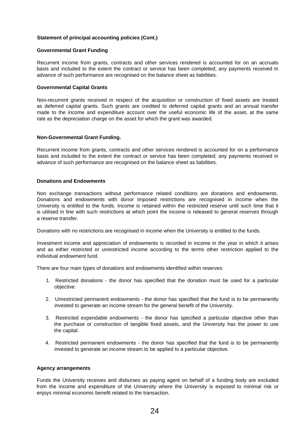#### **Governmental Grant Funding**

Recurrent income from grants, contracts and other services rendered is accounted for on an accruals basis and included to the extent the contract or service has been completed; any payments received in advance of such performance are recognised on the balance sheet as liabilities.

#### **Governmental Capital Grants**

Non-recurrent grants received in respect of the acquisition or construction of fixed assets are treated as deferred capital grants. Such grants are credited to deferred capital grants and an annual transfer made to the income and expenditure account over the useful economic life of the asset, at the same rate as the depreciation charge on the asset for which the grant was awarded.

#### **Non-Governmental Grant Funding.**

Recurrent income from grants, contracts and other services rendered is accounted for on a performance basis and included to the extent the contract or service has been completed; any payments received in advance of such performance are recognised on the balance sheet as liabilities.

#### **Donations and Endowments**

Non exchange transactions without performance related conditions are donations and endowments. Donations and endowments with donor imposed restrictions are recognised in income when the University is entitled to the funds. Income is retained within the restricted reserve until such time that it is utilised in line with such restrictions at which point the income is released to general reserves through a reserve transfer.

Donations with no restrictions are recognised in income when the University is entitled to the funds.

Investment income and appreciation of endowments is recorded in income in the year in which it arises and as either restricted or unrestricted income according to the terms other restriction applied to the individual endowment fund.

There are four main types of donations and endowments identified within reserves:

- 1. Restricted donations the donor has specified that the donation must be used for a particular objective.
- 2. Unrestricted permanent endowments the donor has specified that the fund is to be permanently invested to generate an income stream for the general benefit of the University.
- 3. Restricted expendable endowments the donor has specified a particular objective other than the purchase or construction of tangible fixed assets, and the University has the power to use the capital.
- 4. Restricted permanent endowments the donor has specified that the fund is to be permanently invested to generate an income stream to be applied to a particular objective.

#### **Agency arrangements**

Funds the University receives and disburses as paying agent on behalf of a funding body are excluded from the income and expenditure of the University where the University is exposed to minimal risk or enjoys minimal economic benefit related to the transaction.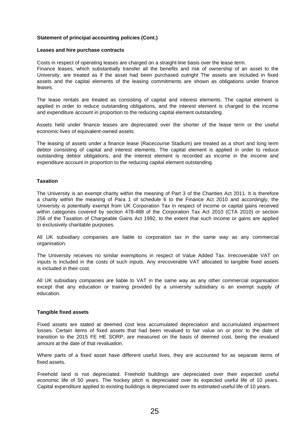#### **Leases and hire purchase contracts**

Costs in respect of operating leases are charged on a straight-line basis over the lease term.

Finance leases, which substantially transfer all the benefits and risk of ownership of an asset to the University, are treated as if the asset had been purchased outright The assets are included in fixed assets and the capital elements of the leasing commitments are shown as obligations under finance leases.

The lease rentals are treated as consisting of capital and interest elements. The capital element is applied in order to reduce outstanding obligations, and the interest element is charged to the income and expenditure account in proportion to the reducing capital element outstanding.

Assets held under finance leases are depreciated over the shorter of the lease term or the useful economic lives of equivalent-owned assets.

The leasing of assets under a finance lease (Racecourse Stadium) are treated as a short and long term debtor consisting of capital and interest elements. The capital element is applied in order to reduce outstanding debtor obligations, and the interest element is recorded as income in the income and expenditure account in proportion to the reducing capital element outstanding.

#### **Taxation**

The University is an exempt charity within the meaning of Part 3 of the Charities Act 2011. It is therefore a charity within the meaning of Para 1 of schedule 6 to the Finance Act 2010 and accordingly, the University is potentially exempt from UK Corporation Tax in respect of income or capital gains received within categories covered by section 478-488 of the Corporation Tax Act 2010 (CTA 2010) or section 256 of the Taxation of Chargeable Gains Act 1992, to the extent that such income or gains are applied to exclusively charitable purposes.

All UK subsidiary companies are liable to corporation tax in the same way as any commercial organisation.

The University receives no similar exemptions in respect of Value Added Tax. Irrecoverable VAT on inputs is included in the costs of such inputs. Any irrecoverable VAT allocated to tangible fixed assets is included in their cost.

All UK subsidiary companies are liable to VAT in the same way as any other commercial organisation except that any education or training provided by a university subsidiary is an exempt supply of education.

#### **Tangible fixed assets**

Fixed assets are stated at deemed cost less accumulated depreciation and accumulated impairment losses. Certain items of fixed assets that had been revalued to fair value on or prior to the date of transition to the 2015 FE HE SORP, are measured on the basis of deemed cost, being the revalued amount at the date of that revaluation.

Where parts of a fixed asset have different useful lives, they are accounted for as separate items of fixed assets.

Freehold land is not depreciated. Freehold buildings are depreciated over their expected useful economic life of 50 years. The hockey pitch is depreciated over its expected useful life of 10 years. Capital expenditure applied to existing buildings is depreciated over its estimated useful life of 10 years.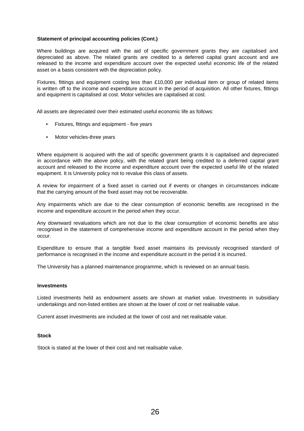Where buildings are acquired with the aid of specific government grants they are capitalised and depreciated as above. The related grants are credited to a deferred capital grant account and are released to the income and expenditure account over the expected useful economic life of the related asset on a basis consistent with the depreciation policy.

Fixtures, fittings and equipment costing less than £10,000 per individual item or group of related items is written off to the income and expenditure account in the period of acquisition. All other fixtures, fittings and equipment is capitalised at cost. Motor vehicles are capitalised at cost.

All assets are depreciated over their estimated useful economic life as follows:

- Fixtures, fittings and equipment five years
- Motor vehicles-three years

Where equipment is acquired with the aid of specific government grants it is capitalised and depreciated in accordance with the above policy, with the related grant being credited to a deferred capital grant account and released to the income and expenditure account over the expected useful life of the related equipment. It is University policy not to revalue this class of assets.

A review for impairment of a fixed asset is carried out if events or changes in circumstances indicate that the carrying amount of the fixed asset may not be recoverable.

Any impairments which are due to the clear consumption of economic benefits are recognised in the income and expenditure account in the period when they occur.

Any downward revaluations which are not due to the clear consumption of economic benefits are also recognised in the statement of comprehensive income and expenditure account in the period when they occur.

Expenditure to ensure that a tangible fixed asset maintains its previously recognised standard of performance is recognised in the income and expenditure account in the period it is incurred.

The University has a planned maintenance programme, which is reviewed on an annual basis.

#### **Investments**

Listed investments held as endowment assets are shown at market value. Investments in subsidiary undertakings and non-listed entities are shown at the lower of cost or net realisable value.

Current asset investments are included at the lower of cost and net realisable value.

#### **Stock**

Stock is stated at the lower of their cost and net realisable value.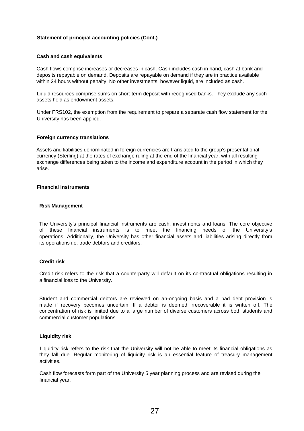#### **Cash and cash equivalents**

Cash flows comprise increases or decreases in cash. Cash includes cash in hand, cash at bank and deposits repayable on demand. Deposits are repayable on demand if they are in practice available within 24 hours without penalty. No other investments, however liquid, are included as cash.

Liquid resources comprise sums on short-term deposit with recognised banks. They exclude any such assets held as endowment assets.

Under FRS102, the exemption from the requirement to prepare a separate cash flow statement for the University has been applied.

#### **Foreign currency translations**

Assets and liabilities denominated in foreign currencies are translated to the group's presentational currency (Sterling) at the rates of exchange ruling at the end of the financial year, with all resulting exchange differences being taken to the income and expenditure account in the period in which they arise.

#### **Financial instruments**

#### **Risk Management**

The University's principal financial instruments are cash, investments and loans. The core objective of these financial instruments is to meet the financing needs of the University's operations. Additionally, the University has other financial assets and liabilities arising directly from its operations i.e. trade debtors and creditors.

## **Credit risk**

Credit risk refers to the risk that a counterparty will default on its contractual obligations resulting in a financial loss to the University.

Student and commercial debtors are reviewed on an-ongoing basis and a bad debt provision is made if recovery becomes uncertain. If a debtor is deemed irrecoverable it is written off. The concentration of risk is limited due to a large number of diverse customers across both students and commercial customer populations.

## **Liquidity risk**

Liquidity risk refers to the risk that the University will not be able to meet its financial obligations as they fall due. Regular monitoring of liquidity risk is an essential feature of treasury management activities.

Cash flow forecasts form part of the University 5 year planning process and are revised during the financial year.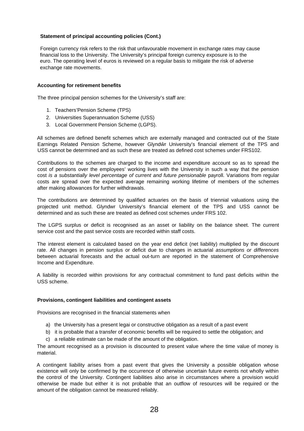Foreign currency risk refers to the risk that unfavourable movement in exchange rates may cause financial loss to the University. The University's principal foreign currency exposure is to the euro. The operating level of euros is reviewed on a regular basis to mitigate the risk of adverse exchange rate movements.

## **Accounting for retirement benefits**

The three principal pension schemes for the University's staff are:

- 1. Teachers'Pension Scheme (TPS)
- 2. Universities Superannuation Scheme (USS)
- 3. Local Government Pension Scheme (LGPS).

All schemes are defined benefit schemes which are externally managed and contracted out of the State Earnings Related Pension Scheme, however Glynd r University's financial element of the TPS and USS cannot be determined and as such these are treated as defined cost schemes under FRS102.

Contributions to the schemes are charged to the income and expenditure account so as to spread the cost of pensions over the employees' working lives with the University in such a way that the pension cost *is a substantially level percentage of current and future pensionable* payroll. Variations from regular costs are spread over the expected average remaining working lifetime of members of the schemes after making allowances for further withdrawals.

The contributions are determined by qualified actuaries on the basis of triennial valuations using the projected unit method. Glyndwr University's financial element of the TPS and USS cannot be determined and as such these are treated as defined cost schemes under FRS 102.

The LGPS surplus or deficit is recognised as an asset or liability on the balance sheet. The current service cost and the past service costs are recorded within staff costs.

The interest element is calculated based on the year end deficit (net liability) multiplied by the discount rate. All changes in pension surplus or deficit due to changes in actuarial *assumptions or differences* between actuarial forecasts and the actual out-turn are reported in the statement of Comprehensive Income and Expenditure.

A liability is recorded within provisions for any contractual commitment to fund past deficits within the USS scheme.

#### **Provisions, contingent liabilities and contingent assets**

Provisions are recognised in the financial statements when

- a) the University has a present legai or constructive obligation as a result of a past event
- b) it is probable that a transfer of economic benefits will be required to settle the obligation; and
- c) a reliable estimate can be made of the amount of the obligation.

The amount recognised as a provision is discounted to present value where the time value of money is material.

A contingent liability arises from a past event that gives the University a possible obligation whose existence will only be confirmed by the occurrence of otherwise uncertain future events not wholly within the control of the University. Contingent liabilities also arise in circumstances where a provision would otherwise be made but either it is not probable that an outflow of resources will be required or the amount of the obligation cannot be measured reliably.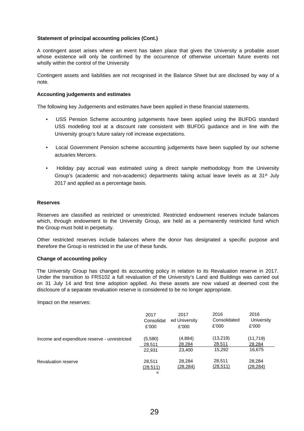A contingent asset arises where an event has taken place that gives the University a probable asset whose existence will only be confirmed by the occurrence of otherwise uncertain future events not wholly within the control of the University

Contingent assets and liabilities are not recognised in the Balance Sheet but are disclosed by way of a note.

#### **Accounting judgements and estimates**

The following key Judgements and estimates have been applied in these financial statements.

- USS Pension Scheme accounting judgements have been applied using the BUFDG standard USS modelling tool at a discount rate consistent with BUFDG guidance and in line with the University group's future salary roll increase expectations.
- Local Government Pension scheme accounting judgements have been supplied by our scheme actuaries Mercers.
- Holiday pay accrual was estimated using a direct sample methodology from the University Group's (academic and non-academic) departments taking actual leave levels as at  $31<sup>st</sup>$  July 2017 and applied as a percentage basis.

#### **Reserves**

Reserves are classified as restricted or unrestricted. Restricted endowment reserves include balances which, through endowment to the University Group, are held as a permanently restricted fund which the Group must hold in perpetuity.

Other restricted reserves include balances where the donor has designated a specific purpose and therefore the Group is restricted in the use of these funds.

#### **Change of accounting policy**

The University Group has changed its accounting policy in relation to its Revaluation reserve in 2017. Under the transition to FRS102 a full revaluation of the University's Land and Buildings was carried out on 31 July 14 and first time adoption applied. As these assets are now valued at deemed cost the disclosure of a separate revaluation reserve is considered to be no longer appropriate.

Impact on the reserves:

|                                               | 2017                    | 2017                | 2016                | 2016                |
|-----------------------------------------------|-------------------------|---------------------|---------------------|---------------------|
|                                               | Consolidat              | ed University       | Consolidated        | University          |
|                                               | £'000                   | £'000               | £'000               | £'000               |
| Income and expenditure reserve - unrestricted | (5,580)                 | (4,884)             | (13,219)            | (11,719)            |
|                                               | 28.511                  | 28.284              | 28.511              | 28.284              |
|                                               | 22,931                  | 23,400              | 15,292              | 16,675              |
| <b>Revaluation reserve</b>                    | 28,511<br>(28.511)<br>« | 28,284<br>(28, 284) | 28,511<br>(28, 511) | 28,284<br>(28, 284) |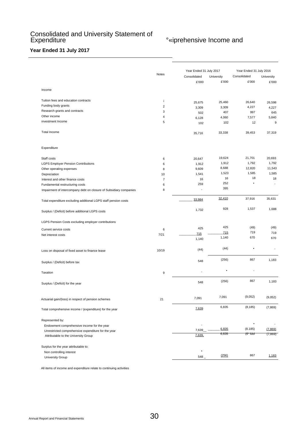## Consolidated and University Statement of Expenditure **Expenditure COLLEG EXPENDITIES EXPENDITIES COLLEG EXPENDITIES COLLEG COLLEG COLLEG COLLEG COLLEG COLLEG COLLEG COLLEG COLLEG COLLEG COLLEG COLLEG COLLEG COLLEG COLLEG**

## **Year Ended 31 July 2017**

|                                                                                             |                         | Year Ended 31 July 2017 |            | Year Ended 31 July 2016 |            |  |
|---------------------------------------------------------------------------------------------|-------------------------|-------------------------|------------|-------------------------|------------|--|
|                                                                                             | Notes                   | Consolidated            | University | Consolidated            | University |  |
|                                                                                             |                         | £'000                   | £'000      | £'000                   | £'000      |  |
| Income                                                                                      |                         |                         |            |                         |            |  |
| Tuition fees and education contracts                                                        | Ť                       | 25,675                  | 25,460     | 26,640                  | 26,598     |  |
| Funding body grants                                                                         | $\overline{c}$          | 3,309                   | 3,309      | 4,227                   | 4,227      |  |
| Research grants and contracts                                                               | 3                       | 502                     | 407        | 997                     | 645        |  |
| Other income                                                                                | $\overline{\mathbf{4}}$ | 6,128                   | 4,060      | 7,577                   | 5,840      |  |
| investment Income                                                                           | 5                       | 102                     | 102        | 12                      | 9          |  |
| Total Income                                                                                |                         | 35,716                  | 33,338     | 39,453                  | 37,319     |  |
| Expenditure                                                                                 |                         |                         |            |                         |            |  |
| Staff costs                                                                                 | 6                       | 20,647                  | 19,624     | 21,701                  | 20,693     |  |
| <b>LGPS Employer Pension Contributions</b>                                                  | 6                       | 1,912                   | 1,912      | 1,792                   | 1,792      |  |
| Other operating expenses                                                                    | 8                       | 9,609                   | 8,688      | 12,820                  | 11,543     |  |
| Depreciation                                                                                | 10                      | 1,541                   | 1,523      | 1,585                   | 1,585      |  |
| Interest and other finance costs                                                            | $\overline{7}$          | 16                      | 16         | 18                      | 18         |  |
| Fundamental restructuring costs                                                             | 6                       | 259                     | 252        | $\bullet$               | ÷          |  |
| Impairment of intercompany debt on closure of Subsidiary companies                          | 8                       | ä,                      | 395        |                         |            |  |
| Total expenditure excluding additional LGPS staff pension costs                             |                         | 33,984                  | 32,410     | 37,916                  | 35,631     |  |
| Surplus / (Deficit) before additional LGPS costs                                            |                         | 1,732                   | 928        | 1,537                   | 1,688      |  |
| LGPS Pension Costs excluding employer contributions                                         |                         |                         |            |                         |            |  |
| Current service costs                                                                       | 6                       | 425                     | 425        | (49)                    | (49)       |  |
| Net interest costs                                                                          | 7/21                    | 715                     | 715        | 719                     | 719        |  |
|                                                                                             |                         | 1,140                   | 1,140      | 670                     | 670        |  |
|                                                                                             |                         |                         | (44)       |                         |            |  |
| Loss on disposal of fixed asset to finance lease                                            | 10/19                   | (44)                    |            |                         |            |  |
| Surplus / (Deficit) before tax                                                              |                         | 548                     | (256)      | 867                     | 1,183      |  |
| Taxation                                                                                    | 9                       |                         |            |                         |            |  |
| Surplus / (Deficit) for the year                                                            |                         | 548                     | (256)      | 867                     | 1,183      |  |
| Actuarial gain/(loss) in respect of pension schemes                                         | 21                      | 7,091                   | 7,091      | (9,052)                 | (9,052)    |  |
| Total comprehensive income / (expenditure) for the year                                     |                         | 7,639                   | 6,835      | (8, 185)                | (7, 869)   |  |
|                                                                                             |                         |                         |            |                         |            |  |
| Represented by:                                                                             |                         |                         |            | $\bullet$               |            |  |
| Endowment comprehensive income for the year                                                 |                         | 7,639                   | 6,835      | (8.185)                 | (7,869)    |  |
| Unrestricted comprehensive expenditure for the year<br>Attributable to the University Group |                         | 7,639                   | 6,835      | <u>(e, inpl</u>         | (7,869)    |  |
|                                                                                             |                         |                         |            |                         |            |  |
| Surplus for the year attributable to:                                                       |                         |                         |            |                         |            |  |
| Non controlling interest                                                                    |                         | 548                     | (256)      | 867                     | 1,183      |  |
| University Group                                                                            |                         |                         |            |                         |            |  |

All items of income and expenditure relate to continuing activities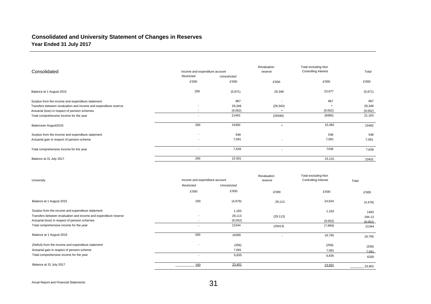## **Consolidated and University Statement of Changes in Reserves Year Ended 31 July 2017**

|                                                                  |                                |              | Revaluation              | Total excluding Non  |         |
|------------------------------------------------------------------|--------------------------------|--------------|--------------------------|----------------------|---------|
| Consolidated                                                     | Income and expenditure account |              | reserve                  | Controlling Interest | Total   |
|                                                                  | Restricted                     | Unrestricted |                          |                      |         |
|                                                                  | £'000                          | £'000        | £'000                    | £'000                | £'000   |
| Balance at 1 August 2015                                         | 200                            | (5,871)      | 29,348                   | 23,677               | (5,671) |
| Surplus from the income and expenditure statement                |                                | 867          | $\overline{\phantom{a}}$ | 867                  | 867     |
| Transfers between revaluation and income and expenditure reserve | $\overline{\phantom{a}}$       | 29,348       | (29, 343)                | $\bullet$            | 29,348  |
| Actuarial (loss) in respect of pension schemes                   | $\overline{\phantom{a}}$       | (9.052)      | $\bullet$                | (9.052)              | (9.052) |
| Total comprehensive Income for the year                          | $\overline{\phantom{a}}$       | 21463        | (29348)                  | (8485)               | 21,163  |
| Balancean August2016                                             | 200                            | 15392        | $\bullet$                | 15,492               | 15492   |
| Surplus from the income and expenditure statement                | $\sim$                         | 548          |                          | 548                  | 548     |
| Actuarial gain in respect of pension scheme                      | $\sim$                         | 7,091        | $\overline{\phantom{a}}$ | 7,091                | 7,091   |
| Total comprehensive income for the year                          |                                | 7,639        |                          | 7439                 | 7,639   |
| Balance at 31 July 2017                                          | 200                            | 22,931       |                          | 23,131               | 23431   |

| University                                                       | income and expenditure account |              | Revaluation<br>reserve   | Total excluding Non<br>Controlling Interest | Total    |
|------------------------------------------------------------------|--------------------------------|--------------|--------------------------|---------------------------------------------|----------|
|                                                                  | Restricted                     | Unrestricted |                          |                                             |          |
|                                                                  | £'000                          | £'000        | £'000                    | £'000                                       | £'000    |
| Balance at 1 August 2015                                         | 200                            | (4,679)      | 29,113                   | 24,634                                      | (4, 479) |
| Surplus from the income and expenditure statement                |                                | 1,183        |                          | 1,183                                       | 1483     |
| Transfers between revaluation and income and expenditure reserve | $\overline{\phantom{a}}$       | 29,113       | (29, 113)                |                                             | 294.13   |
| Actuarial (loss) in respect of pension schemes                   | $\overline{\phantom{a}}$       | (9,0S2)      |                          | (9.052)                                     | (9.052)  |
| Total comprehensive income for the year                          | $\overline{\phantom{a}}$       | 21344        | (29413)                  | (7, 869)                                    | 21344    |
| Balance at 1 August 2016                                         | 200                            | 16365        | $\overline{\phantom{a}}$ | 16,765                                      | 16,765   |
| (Deficit) from the income and expenditure statement              | $\overline{\phantom{a}}$       | (256)        |                          | (256)                                       | (256)    |
| Actuarial gain in respect of pension scheme                      |                                | 7,091        |                          | 7,091                                       | 7.091    |
| Total comprehensive income for the year                          | $\overline{\phantom{a}}$       | 6,835        |                          | 6,835                                       | 6335     |
| Balance at 31 July 2017                                          | 200                            | 23,401       |                          | 23,601                                      | 23,601   |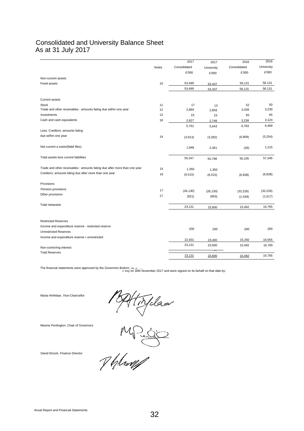## Consolidated and University Balance Sheet As at 31 July 2017

|                                                                           |       | 2017         | 2017               | 2016                 | 2016       |
|---------------------------------------------------------------------------|-------|--------------|--------------------|----------------------|------------|
|                                                                           | Notes | Consolidated | University         | Consolidated         | University |
|                                                                           |       | £'000        | £'000              | £'000                | £'000      |
| Non-current assets                                                        |       |              |                    |                      |            |
| <b>Fixed assets</b>                                                       | 10    | 53,499       | 53.437             | 56,131               | 56.131     |
|                                                                           |       | 53,499       | 53,437             | 56,131               | 56.131     |
| Current assets                                                            |       |              |                    |                      |            |
| Stock                                                                     | 11    | 17           | 13                 | 52                   | 50         |
| Trade and other receivables : amounts fating due within one year          | 12    | 2,894        | 2,859              | 3,428                | 3,230      |
| Investments                                                               | 13    | 23           | 23                 | 65                   | 65         |
| Cash and cash equivalents                                                 | 18    | 2,827        | 2,748              | 3,238                | 3,124      |
|                                                                           |       | 5,761        | 5,643              | 6,783                | 6,469      |
| Less: Creditors: amounts fating                                           |       |              |                    |                      |            |
| due within one year                                                       | 14    | (3.913)      | (3, 282)           | (6,809)              | (5,254)    |
| Net current a ssets/(llabil Illes)                                        |       | 1,848        | 2,361              | (26)                 | 1,215      |
| Total assets less current liabilities                                     |       | 55,347       | 55,798             | 56,105               | 57,346     |
| Trade and other receivables : amounts fating due after more than one year | 15    | 1,350        | 1,350              |                      |            |
| Creditors: amounts faling due after more than one year                    | 16    | (6.515)      | (6.515)            | (6,838)              | (6,838)    |
| Provisions                                                                |       |              |                    |                      |            |
| Pension provisions                                                        | 17    | (26, 130)    |                    |                      | (32, 226)  |
| Other provisions                                                          | 17    | (921)        | (26, 130)<br>(903) | (32, 226)<br>(1.549) | (1,517)    |
| Total netassets                                                           |       | 23,131       | 23,600             | 15,492               | 16,765     |
|                                                                           |       |              |                    |                      |            |
| <b>Restricted Reserves</b>                                                |       |              |                    |                      |            |
| Income and expenditure reserve - restricted reserve                       |       | 200          | 200                | 200                  | 200        |
| <b>Unrestricted Reserves</b>                                              |       |              |                    |                      |            |
| Income and expenditure reserve . unrestricted                             |       | 22,931       | 23,400             | 15,292               | 16,565     |
|                                                                           |       | 23,131       | 23,600             | 15,492               | 16,765     |
| Non-controling interest<br><b>Total Reserves</b>                          |       |              |                    |                      |            |
|                                                                           |       | 23,131       | 23,600             | 15,492               | 16,765     |

The financial statements were approved by the Governino Bodvnr, ه. . . . .<br>« voy on 30th November 2017 and were signed on its behalf on that dale by: . . . . . . . . . . . . . . . . . .

Maria Hinfelaar, Vice-Chancellor

Maxine Penlington, Chair of Governors

PAHTYdes<br>MP=50

David Elcock, Finance Director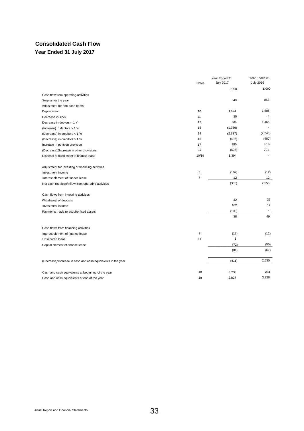## **Consolidated Cash Flow Year Ended 31 July 2017**

|                                                               | Notes          | Year Ended 31<br><b>July 2017</b> | Year Ended 31<br><b>July 2016</b> |
|---------------------------------------------------------------|----------------|-----------------------------------|-----------------------------------|
|                                                               |                | £'000                             | £'000                             |
| Cash flow from operating activities                           |                |                                   |                                   |
| Surplus for the year                                          |                | 548                               | 867                               |
| Adjustment for non-cash Items                                 |                |                                   |                                   |
| Depreciation                                                  | 10             | 1,541                             | 1,585                             |
| Decrease in slock                                             | 11             | 35                                | 4                                 |
| Decrease in debtors < 1 Yr                                    | 12             | 534                               | 1,465                             |
| (Increase) in debtors > 1 Yr                                  | 15             | (1,350)                           |                                   |
| (Decrease) in creditors < 1 Yr                                | 14             | (2.937)                           | (2, 245)                          |
| (Decrease) in creditors > 1 Yr                                | 16             | (406)                             | (460)                             |
| Increase in pension provision                                 | 17             | 995                               | 616                               |
| (Decrease) ZIncrease in other provisions                      | 17             | (628)                             | 721                               |
| Disposal of fixed asset to finance lease                      | 10/19          | 1,394                             |                                   |
| Adjustment for Investing or financing activities              |                |                                   |                                   |
| Investment income                                             | 5              | (102)                             | (12)                              |
| Interest element of finance lease                             | $\overline{7}$ | 12                                | 12                                |
| Net cash (outflow)/inflow from operating activities           |                | (365)                             | 2,553                             |
| Cash flows from investing activities                          |                |                                   |                                   |
| Withdrawal of deposits                                        |                | 42                                | 37                                |
| Investment income                                             |                | 102                               | 12                                |
| Payments made to acquire fixed assets                         |                | (106)                             | $\overline{\phantom{a}}$          |
|                                                               |                | 38                                | 49                                |
| Cash flows from financing activities                          |                |                                   |                                   |
| Interest element of finance lease                             | $\overline{7}$ | (12)                              | (12)                              |
| Unsecured loans                                               | 14             | $\mathbf{1}$                      |                                   |
| Capital element of finance lease                              |                | (72)                              | (55)                              |
|                                                               |                | (84)                              | (67)                              |
| (Decrease) fincrease in cash and cash equivalents in the year |                | (411)                             | 2,535                             |
| Cash and cash equivalents at beginning of the year            | 18             | 3,238                             | 703                               |
| Cash and cash equivalents at end of the year                  | 18             | 2,827                             | 3,238                             |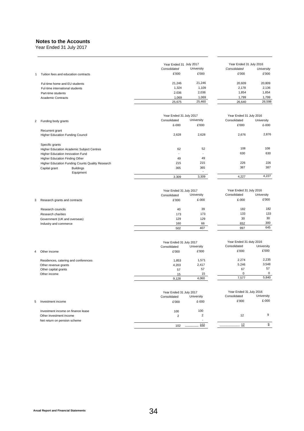## **Notes to the Accounts**

Year Ended 31 July 2017

|   |                                                     | Year Ended 31 July 2017                 |                          | Year Ended 31 July 2016                 |            |
|---|-----------------------------------------------------|-----------------------------------------|--------------------------|-----------------------------------------|------------|
|   |                                                     | Consolidated                            | University               | Consolidated                            | University |
| 1 | Tuition fees and education contracts                | £'000                                   | £'000                    | £'000                                   | £'000      |
|   | Ful-time home and EU students                       | 21,246                                  | 21,246                   | 20,609                                  | 20,809     |
|   | Fuî-time international students                     | 1,324                                   | 1,109                    | 2,178                                   | 2,136      |
|   | Part-time students                                  | 2.036                                   | 2,036                    | 1,854                                   | 1,854      |
|   | <b>Academic Contracts</b>                           | 1,069                                   | 1,069                    | 1,799                                   | 1,799      |
|   |                                                     | 25,675                                  | 25,460                   | 26,640                                  | 26,598     |
|   |                                                     |                                         |                          |                                         |            |
|   |                                                     | Year Ended 31 July 2017                 |                          | Year Ended 31 July 2016                 |            |
| 2 | Funding body grants                                 | Consolidated                            | University               | Consolidated                            | University |
|   |                                                     | £-000                                   | £'000                    | £'000                                   | £-000      |
|   | Recurrent grant<br>Higher Education Funding Council | 2,628                                   | 2,628                    | 2,676                                   | 2,876      |
|   | Specific grants                                     |                                         |                          |                                         |            |
|   | Higher Education Academic Subject Centres           | 62                                      | 52                       | 108                                     | 108        |
|   | Higher Education Innovation Fund                    |                                         | ÷,                       | 630                                     | 630        |
|   | Higher Education Finding Other                      | 49                                      | 49                       |                                         |            |
|   | Higher Education Funding Counts Quality Research    | 215                                     | 215                      | 226                                     | 226        |
|   | Capital grant<br><b>Buildings</b><br>Equipment      | 365                                     | 365                      | 387                                     | 387        |
|   |                                                     | 3.309                                   | 3,309                    | 4,227                                   | 4,227      |
|   |                                                     | Year Ended 31 July 2017<br>Consolidated | University               | Year Ended 31 July 2016<br>Consolidated | University |
| 3 | Research grants and contracts                       | £'000                                   | £-000                    | £-000                                   | £'000      |
|   | Research councils                                   | 40                                      | 39                       | 182                                     | 182        |
|   | Research charities                                  | 173                                     | 173                      | 133                                     | 133        |
|   | Government (UK and overseas)                        | 129                                     | 129                      | 30                                      | 30         |
|   | Industry and commerce                               | 160                                     | 66                       | 652                                     | 300        |
|   |                                                     | 502                                     | 407                      | 997                                     | 645        |
|   |                                                     |                                         |                          |                                         |            |
|   |                                                     | Year Ended 31 July 2017                 |                          | Year Ended 31 duty 2016                 |            |
|   |                                                     | Consolidated                            | University               | Consolidated                            | University |
| 4 | Other income                                        | £'000                                   | £'000                    | £'000                                   | £'000      |
|   | Residences, catering and conferences                | 1,853                                   | 1,571                    | 2.274                                   | 2,235      |
|   | Other revenue grants                                | 4,203                                   | 2,417                    | 5.246                                   | 3,548      |
|   | Other capital grants                                | 57                                      | 57                       | 67                                      | 57         |
|   | Other income                                        | 15                                      | 15                       | $\mathbf 0$                             | 0          |
|   |                                                     | 9,128                                   | 4,060                    | 7,577                                   | 5,840      |
|   |                                                     |                                         |                          |                                         |            |
|   |                                                     | Year Ended 31 July 2017                 |                          | Year Ended 31 July 2016                 | University |
|   |                                                     | Consolidated                            | University               | Consolidated                            |            |
| 5 | Investment income                                   | £'000                                   | £-000                    | £'000                                   | £-000      |
|   | Investment income on finance lease                  | 100                                     | 100                      |                                         |            |
|   | Other investment income                             | $\overline{2}$                          | $\overline{c}$           | 12                                      | 9          |
|   | Net return on pension scheme                        |                                         | $\overline{\phantom{a}}$ |                                         |            |
|   |                                                     | 102                                     | 102                      | 12                                      | 9          |
|   |                                                     |                                         |                          |                                         |            |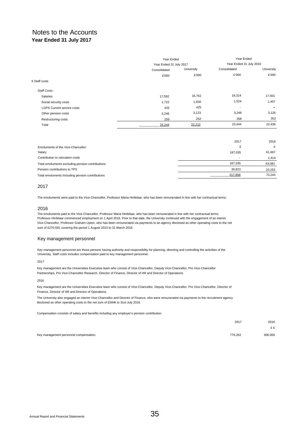|                                   |                         | Year Ended |                          | Year Ended |  |
|-----------------------------------|-------------------------|------------|--------------------------|------------|--|
|                                   | Year Ended 31 July 2017 |            | Year Ended 31 July 2016  |            |  |
|                                   | Consolidated            | University | Consolidated             | University |  |
|                                   | £'000                   | £'000      | £'000                    | £'000      |  |
| 6 Staff costs                     |                         |            |                          |            |  |
| Staff Costs:                      |                         |            |                          |            |  |
| Salaries                          | 17,592                  | 16,762     | 18,314                   | 17,501     |  |
| Social security costs             | 1,722                   | 1,650      | 1,524                    | 1,457      |  |
| <b>LGPS Current service costs</b> | 425                     | 425        | $\overline{\phantom{a}}$ | $\bullet$  |  |
| Other pension costs               | 3,246                   | 3,123      | 3,248                    | 3,126      |  |
| Restructuring costs               | 259                     | 252        | 358                      | 352        |  |
| Total                             | 23,244                  | 22,212     | 23,444                   | 22,436     |  |

|                                                  | 2017    | 2016   |
|--------------------------------------------------|---------|--------|
| Emoluments of the Vice-Chancellor:               |         | £      |
| Salary                                           | 187.035 | 61,667 |
| Contribution to relocation costs                 |         | 1.414  |
| Total emoluments excluding pension contributions | 187.035 | 63,081 |
| Pension contributions to TPS                     | 30.823  | 10,163 |
| Total emoluments Including pension contributions | 217,858 | 73.244 |

#### 2017

The emoluments were paid to the Vice-Chancellor, Professor Maria Hinfelaar, who has been remunerated In line with her contractual terms.

#### 2016

The emoluments paid to the Vice-Chancellor, Professor Maria Hinfefaar, who has been remunerated in line with *her contractual terms.* Professor Hinfelaar commenced employment on 1 April 2016. Prior to that date, the University continued with the engagement of an interim Vice-Chancellor, Professor Graham Upton, who has been remunerated via payments to an agency disclosed as other operating costs to the net sum of £270,581 covering the period 1 August 2015 to 31 March 2016.

#### Key management personnel

Key management personnel are those persons having authority and responsibility for planning, directing and controlling the activities of the University. Staff costs includes compensation paid to key management personnel.

#### 2017

Key management are the Universities Executive team who consist of Vice-Chancellor, Deputy Vice-Chancellor, Pro Vice-Chancellor Partnerships, Pro Vice-Chancellor Research, Director of Finance, Director of HR and Director of Operations.

#### 2016

Key management are the Universities Executive team who consist of Vice-Chancellor, Deputy Vice-Chancellor, Pro Vice-Chancellor, Director of Finance, Director of HR and Director of Operations.

The University also engaged an interim Vice-Chancellor and Director of Finance, who were remunerated via payments to the recruitment agency disclosed as other operating costs to the net sum of £594k to 31st July 2016.

Compensation consists of salary and benefits including any employer's pension contribution.

|                                       | 2017    | 2016    |
|---------------------------------------|---------|---------|
|                                       |         | ££      |
| Key management personnel compensation | 776,262 | 306.000 |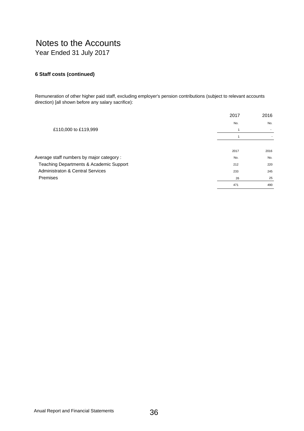## **6 Staff costs (continued)**

Remuneration of other higher paid staff, excluding employer's pension contributions (subject to relevant accounts direction) [all shown before any salary sacrifice):

|                                             | 2017 | 2016 |
|---------------------------------------------|------|------|
|                                             | No.  | No.  |
| £110,000 to £119,999                        |      |      |
|                                             |      |      |
|                                             |      |      |
|                                             | 2017 | 2016 |
| Average staff numbers by major category:    | No.  | No.  |
| Teaching Departments & Academic Support     | 212  | 220  |
| <b>Administraton &amp; Central Services</b> | 233  | 245  |
| <b>Premises</b>                             | 26   | 25   |
|                                             | 471  | 490  |
|                                             |      |      |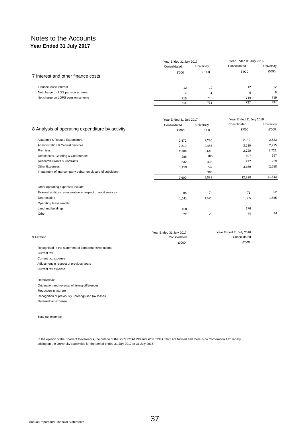|                                    | Year Ended 31 July 2017 |            | Year Ended 31 July 2016 |            |
|------------------------------------|-------------------------|------------|-------------------------|------------|
|                                    | Consolidated            | University | Consolidated            | University |
| 7 Interest and other finance costs | £'000                   | £'000      | £'000                   | £'000      |
| Finance lease interest             | 12                      | 12         | 12                      | 12         |
| Net charge on USS pension scheme   | 4                       | 4          | 6                       | 6          |
| Net charge on LGPS pension scheme  | 715                     | 715        | 719                     | 719        |
|                                    | 731                     | 731        | 737                     | 737        |

|                                                             | Year Ended 31 July 2017 |            | Year Ended 31 July 2016 |            |
|-------------------------------------------------------------|-------------------------|------------|-------------------------|------------|
|                                                             | Consolidated            | University | Consolidated            | University |
| 8 Analysis of operating expenditure by activity             | £'000                   | £'000      | £'000                   | £'000      |
| Academic & Related Expenditure                              | 2,472                   | 2,236      | 2,817                   | 2,523      |
| <b>Administration &amp; Central Services</b>                | 2,210                   | 2.456      | 3,230                   | 2,915      |
| Premises                                                    | 2,909                   | 2,640      | 2,720                   | 2,721      |
| Residences, Catering & Conferences                          | 286                     | 186        | 597                     | 597        |
| Research Grants & Contracts                                 | 532                     | 428        | 297                     | 229        |
| Other Expenses                                              | 1,199                   | 742        | 3,159                   | 2,558      |
| Impairment of intercompany debtor on closure of subsidiary  |                         | 395        |                         |            |
|                                                             | 9,609                   | 9,083      | 12,820                  | 11,543     |
| Other operating expenses include:                           |                         |            |                         |            |
| External auditors remuneration in respect of audit services | 86                      | 74         | 71                      | 52         |
| Depreciation                                                | 1,541                   | 1,523      | 1,585                   | 1,585      |
| Operating tease rentals                                     |                         |            |                         |            |
| Land and buildings                                          | 150                     |            | 176                     |            |
| Other                                                       | 22                      | 22         | 44                      | 44         |

| 9 Taxation                                          | Year Ended 31 July 2017<br>Consolidated | Year Ended 31 July 2016<br>Consolidated |
|-----------------------------------------------------|-----------------------------------------|-----------------------------------------|
|                                                     | £'000                                   | £'000                                   |
| Recognised in the statement of comprehensive income |                                         |                                         |
| Current tax                                         |                                         |                                         |
| Current tax expense                                 |                                         |                                         |
| Adjustment in respect of previous years             |                                         |                                         |
| Current tax expense                                 |                                         |                                         |

Deferred tax Origination and reversal of timing differences Reduction in lax rate Recognition of previously unrecognised (ax losses Deferred tax expense

Total tax expense

In the opinion of the Board of Goverenors, the criteria of the s505 ICTA1998 and s256 TCGA 1992 are fulfilled and there is no Corporation Tax liability arising on the University's activities for the period ended 31 July 2017 or 31 July 2016.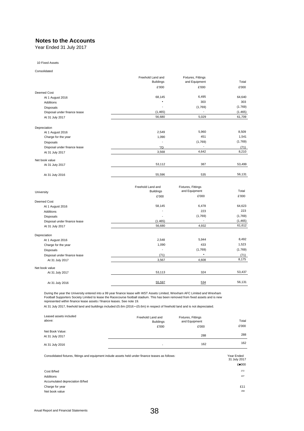#### **Notes to the Accounts**

Year Ended 31 July 2017

#### 10 Fixed Assets

Consolidated

|                              | Freehold Land and | Fixtures, Fittings |         |
|------------------------------|-------------------|--------------------|---------|
|                              | <b>Buildings</b>  | and Equipment      | Total   |
|                              | £'000             | £'000              | £'000   |
| Deemed Cost                  |                   |                    |         |
| At 1 August 2016             | 68,145            | 6,495              | 64,640  |
| <b>Additions</b>             | ٠                 | 303                | 303     |
| Disposals                    | ٠                 | (1,769)            | (1.769) |
| Disposal under finance tease | (1, 465)          |                    | (1.465) |
| At 31 July 2017              | 56,680            | 5,029              | 61,709  |
| Depreciation                 |                   |                    |         |
| At 1 August 2016             | 2,549             | 5,960              | 8,509   |
| Charge for the year          | 1,090             | 451                | 1,541   |
| Disposals                    | ٠                 | (1,769)            | (1.769) |
| Disposal under finance lease | '7D               |                    | (71)    |
| At 31 July 2017              | 3,568             | 4,642              | 8,210   |
| Net book value               |                   |                    |         |
| At 31 Juty 2017              | 53,112            | 387                | 53,499  |
| At 31 Juty 2016              | 55,596            | 535                | 56,131  |
|                              | Freehold Land and | Fixtures, Fittings | Total   |
| University                   | <b>Buildings</b>  | and Equipment      |         |

|                              | <b>I ICCIIUIU LAIIU AIIU</b> | $\ldots$      |          |  |
|------------------------------|------------------------------|---------------|----------|--|
| University                   | <b>Buildings</b>             | and Equipment | Total    |  |
|                              | £'000                        | £'000         | £'000    |  |
| Deemed Cost                  |                              |               |          |  |
| At 1 August 2016             | 58,145                       | 6,478         | 64,623   |  |
| <b>Additions</b>             | ٠                            | 223           | 223      |  |
| Disposals                    | $\overline{a}$               | (1,769)       | (1,769)  |  |
| Disposal under finance lease | (1.465)                      |               | (1, 465) |  |
| At 31 July 2017              | 56,680                       | 4,932         | 61,612   |  |
| Depreciation                 |                              |               |          |  |
| At 1 August 2016             | 2,548                        | 5,944         | 8,492    |  |
| Charge for the year          | 1,090                        | 433           | 1,523    |  |
| Disposals                    | ٠                            | (1,769)       | (1.769)  |  |
| Disposal under finance lease | (71)                         | ٠             | (71)     |  |
| At 31 July 2017              | 3,567                        | 4,608         | 8,175    |  |
| Net book value               |                              |               |          |  |
| At 31 July 2017              | 53,113                       | 324           | 53,437   |  |
| At 31 July 2016              | 55,597                       | 534           | 56,131   |  |
|                              |                              |               |          |  |

During the year the University entered into a 99 year finance lease wilh WST Assets Limited, Wrexham AFC Limited and Wrexham<br>Football Supporters Society Limited to lease the Racecourse football stadium. This has been remov represented within finance lease assets / finance leases. See note 19.

At 31 July 2017, freehold land and buildings included £5.6m (2016 • £5.6m) in respect of freehold land and is not depreciated.

| Leased assets included<br>above:   | Fixtures, Fittings<br>Freehold Land and<br><b>Buildings</b> |       | Total |
|------------------------------------|-------------------------------------------------------------|-------|-------|
|                                    | £'000                                                       | £'000 | £'000 |
| Net Book Value:<br>At 31 July 2017 |                                                             | 288   | 288   |
| At 31 July 2016                    | -                                                           | 162   | 162   |

| Consolidated fixtures, fittings and equipment indude assets held under finance teases as follows: | Year Ended<br>31 Juty 2017 |
|---------------------------------------------------------------------------------------------------|----------------------------|
|                                                                                                   | £ 000                      |
| Cost B/fwd                                                                                        | 272                        |
| Additions                                                                                         | 107                        |
| Accumulated depreciation B/fwd                                                                    |                            |
| Charge for year                                                                                   | £11                        |
| Net book value                                                                                    | 268                        |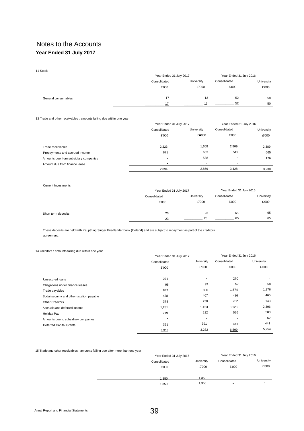| 11 Stock            |              |                         |              |                         |  |
|---------------------|--------------|-------------------------|--------------|-------------------------|--|
|                     |              | Year Ended 31 July 2017 |              | Year Ended 31 July 2016 |  |
|                     | Consolidated | University              | Consolidated | University              |  |
|                     | £'000        | £'000                   | £'000        | £'000                   |  |
| General consumables | 17           | 13                      | 52           | 50                      |  |
|                     |              | 13                      | 52           | 50                      |  |

12 Trade and other receivables : amounts falling due within one year

|                                       | Year Ended 31 July 2017 |                          | Year Ended 31 July 2016  |                          |
|---------------------------------------|-------------------------|--------------------------|--------------------------|--------------------------|
|                                       | Consolidated            | University               | Consolidated             | University               |
|                                       | £'000                   | £ 000                    | £'000                    | £'000                    |
| Trade receivables                     | 2,223                   | 1,668                    | 2,909                    | 2,389                    |
| Prepayments and accrued Income        | 671                     | 653                      | 519                      | 665                      |
| Amounts due from subsidiary companies | $\bullet$               | 538                      | $\overline{\phantom{a}}$ | 176                      |
| Amount due from finance lease         |                         | $\overline{\phantom{a}}$ | $\overline{\phantom{a}}$ | $\overline{\phantom{a}}$ |
|                                       | 2.894                   | 2.859                    | 3,428                    | 3.230                    |

#### Current Investments

|                     | Year Ended 31 July 2017    |       | Year Ended 31 July 2016 |            |
|---------------------|----------------------------|-------|-------------------------|------------|
|                     | University<br>Consolidated |       | Consolidated            | University |
|                     | £'000                      | £'000 | £'000                   | £'000      |
| Short term deposits | 23                         | 23    | 65                      | 65         |
|                     | 23                         | 23    | 65                      | 65         |

These deposits are held with Kaupthing Singer Friedlander bank (Iceland) and are subject to repayment as part of the creditors agreement.

#### 14 Creditors : amounts falling due within one year

|                                           | Year Ended 31 July 2017 |            | Year Ended 31 July 2016 |            |
|-------------------------------------------|-------------------------|------------|-------------------------|------------|
|                                           | Consolidated            | University | Consolidated            | University |
|                                           | £'000                   | £'000      | £'000                   | £'000      |
| Unsecured loans                           | 271                     | ٠          | 270                     |            |
| Obligations under finance leases          | 98                      | 99         | 57                      | 58         |
| Trade payables                            | 847                     | 800        | 1,674                   | 1,276      |
| Sodai security and other taxation payable | 428                     | 407        | 486                     | 465        |
| <b>Other Creditors</b>                    | 378                     | 250        | 232                     | 143        |
| Accruals and deferred income              | 1,281                   | 1.123      | 3,123                   | 2,306      |
| <b>Holiday Pay</b>                        | 219                     | 212        | 526                     | 503        |
| Amounts due to subsidiary companies       | $\bullet$               |            |                         | 62         |
| <b>Deferred Capital Grants</b>            | 391                     | 391        | 441                     | 441        |
|                                           | 3,913                   | 3,282      | 6,809                   | 5,254      |

15 Trade and other receivables : amounts falling due after more than one year

| Year Ended 31 July 2017 |            | Year Ended 31 July 2016 |            |
|-------------------------|------------|-------------------------|------------|
| Consolidated            | University | Consolidated            | University |
| £'000                   | £'000      | £'000                   | £'000      |
|                         |            |                         |            |
| 1.350                   | 1,350      |                         | -          |
| 1,350                   | 1,350      | ٠                       |            |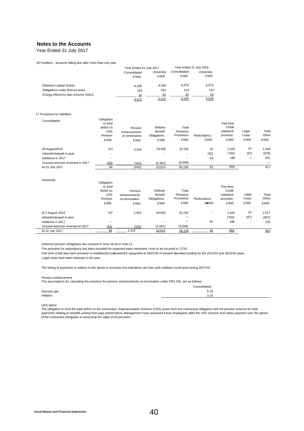## **Notes to the Accounts**

Year Ended 31 July 2017

#### 1\$ Creditors : amounts falling due alter more than one year

|                                      | Year Ended 31 July 2017 |                     | Year ended 31 July 2016 |                     |
|--------------------------------------|-------------------------|---------------------|-------------------------|---------------------|
|                                      | Consolidated<br>$£*000$ | University<br>£'000 | Consolidated<br>£'000   | University<br>£'000 |
| Deferred Capital Grants              | 6.288                   | 6.283               | 6.675                   | 6.675               |
| Obligations under finance lease      | 193                     | 193                 | 110                     | 110                 |
| Energy efficiency loan scheme (SALI) | 34<br>6,515             | 34<br>6,515         | 53<br>6,838             | 53<br>6,838         |

#### 17 Provisions for liabilities

| Consolidated                    | Obligation<br>to fund<br>deficit on<br><b>USS</b><br>Pension<br>£'000 | Pension<br>enhancements<br>on termination<br>£'000 | Defined<br>Benefit<br>Obligations<br>£'000 | Total<br>Pensions<br>Provisions<br>£'000 | Redundancy<br>£'000      | Part-time<br>Credit<br>clawback<br>provision<br>£'000 | Legai<br>Costs<br>£'000 | Total<br>Other<br>£'000 |
|---------------------------------|-----------------------------------------------------------------------|----------------------------------------------------|--------------------------------------------|------------------------------------------|--------------------------|-------------------------------------------------------|-------------------------|-------------------------|
| All August2016                  | 137                                                                   | 2.524                                              | 29,565                                     | 32,226                                   | 32                       | 1.420                                                 | 97                      | 1,549                   |
| Utiised/released in year        | $\overline{\phantom{0}}$                                              |                                                    | $\overline{\phantom{a}}$                   | $\overline{\phantom{0}}$                 | (32)                     | (750)                                                 | (97)                    | (879)                   |
| Additions in 2017               | $\overline{\phantom{0}}$                                              |                                                    |                                            | $\overline{\phantom{0}}$                 | 63                       | 188                                                   | ٠                       | 251                     |
| Unused amounts reversed in 2017 | (43)                                                                  | 1102L                                              | (5,951)                                    | (6,096)                                  | $\overline{\phantom{a}}$ | $\overline{\phantom{a}}$                              |                         |                         |
| At 31 July 2017                 | 94                                                                    | 2/422                                              | 23,614                                     | 26,130                                   | 63                       | 858                                                   |                         | 92 f                    |

#### University

| Obligation               |                |                          |            |            |                          |       |                          |
|--------------------------|----------------|--------------------------|------------|------------|--------------------------|-------|--------------------------|
| to fund                  |                |                          |            |            | Part-lime                |       |                          |
| deficit on               | Pension        | Defined                  | Total      |            | Credit                   |       |                          |
| <b>USS</b>               | enhancements   | Benefit                  | Pensions   |            | clawback                 | Legal | Total                    |
| Pension                  | on termination | Obligations              | Provisions | Redundancy | provision                | Costs | Other                    |
| £'000                    | £'000          | £'000                    | £'000      | £ 000      | £'000                    | £'000 | £'000                    |
| 137                      | 2.524          | 29.565                   | 32,226     | -          | 1.420                    | 97    | 1,517                    |
| $\overline{\phantom{0}}$ |                | -                        |            |            | (750)                    | (97)  | (847)                    |
|                          | ۰              | $\overline{\phantom{a}}$ | ٠          | 45         | 188                      |       | 233                      |
| (43)                     | (102)          | (5,951)                  | (6,096)    |            | $\overline{\phantom{a}}$ |       | $\overline{\phantom{a}}$ |
| 94                       | 2.422          | 23,614                   | 26,130     | 45         | 858                      |       | 903                      |
|                          |                |                          |            |            |                          |       |                          |

Deferred pension obSgations are *covered in more de tai in note 21.*

The provision for redundancy has been provided for expected earty retirement costs to be Incurred in 17/18.

Part time credit daw back provision is established toaBowforthe repayment lo HEFCW of unused allocated funding for the 2014/15 and 2015/16 years.

Legal costs have been released in the year.

The timing of payments in relation to the above is uncertain but indications are that cash outflows couM arise during *2017/18.*

#### Pension enhancement

The assumptions for cataJaling the provision for pension enhancements on termination under FRS 102, are as follows:

|               | Consolidated |
|---------------|--------------|
| Discoint rate | 5.10         |
| Inflation     | 3.10         |

USS deficit

The obligation to fund the past deficit on the Universitys' Superannuation Scheme (USS) arises from the contractual obligation with the pension scheme for total payments relating to benefits arising from past performance. Management have assessed future employees wilhii the USS scheme and salary payment over the period of the *contracted* obSgaüon *in assessing the vakje ot tiis provision.*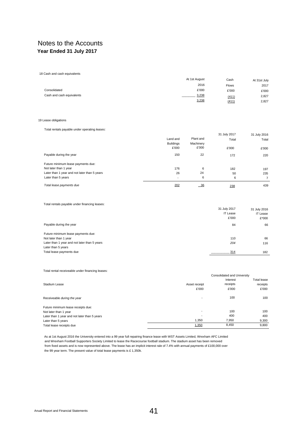18 Cash and cash equivalents

|                           | At 1st August | Cash         | At 31st July |
|---------------------------|---------------|--------------|--------------|
|                           | 2016          | <b>Flows</b> | 2017         |
| Consolidated              | £'000         | £'000        | £'000        |
| Cash and cash equivalents | 3,238         | (411)        | 2,827        |
|                           | 3,238         | (411)        | 2,827        |

#### 19 Lease obligations

#### Total rentals payable under operating *leases:*

|                                              | Land and                  | Plant and          | 31 July 2017<br>Total | 31 July 2016<br>Total |
|----------------------------------------------|---------------------------|--------------------|-----------------------|-----------------------|
|                                              | <b>Buildings</b><br>£'000 | Machinery<br>£'000 | £'000                 | £'000                 |
| Payable during the year                      | 150                       | 22                 | 172                   | 220                   |
| Future minimum lease payments due:           |                           |                    |                       |                       |
| Not later than 1 year                        | 176                       | 6                  | 182                   | 197                   |
| Later than 1 year and not later than 5 years | 26                        | 24                 | 50                    | 235                   |
| Later than 5 years                           | $\overline{\phantom{a}}$  | 6                  | 6                     | $\overline{7}$        |
| Total lease payments due                     | 202                       | $-36$              | 238                   | 439                   |

Total rentals payable under financing leases:

|                                              | 31 July 2017    | 31 July 2016    |
|----------------------------------------------|-----------------|-----------------|
|                                              | <b>IT Lease</b> | <b>IT Lease</b> |
|                                              | £'000           | $£*000$         |
| Payable during the year                      | 84              | 66              |
| Future minimum lease payments due:           |                 |                 |
| Not later than 1 year                        | 110             | 66              |
| Later than 1 year and not later than 5 years | 204             | 116             |
| Later than 5 years                           |                 |                 |
| Total lease payments due                     | 314             | 182             |
|                                              |                 |                 |

#### Total rental receiveable under financing leases:

|                                              |               | Consolidated and University |                    |
|----------------------------------------------|---------------|-----------------------------|--------------------|
|                                              |               | Interest                    | <b>Total lease</b> |
| Stadium Lease                                | Asset receipt | receipts                    | receipts           |
|                                              | £'000         | £'000                       | £'000              |
| Receiveable during the year                  |               | 100                         | 100                |
| Future minimum lease receipts due:           |               |                             |                    |
| Not later than 1 year                        |               | 100                         | 100                |
| Later than 1 year and not later than 5 years |               | 400                         | 400                |
| Later than 5 years                           | 1.350         | 7,950                       | 9,300              |
| Total lease receipts due                     | 1,350         | 8,450                       | 9.800              |

As at 1st August 2016 the University entered into a 99 year full repairing finance lease with WST Assets Limited, Wrexham AFC Limited and Wrexham Football Supporters Society Limited to lease the Racecourse football stadium. The stadium asset has been removed from fixed assets and is now represented above. The lease has an implicit interest rale of 7.4% with annual payments of £100,000 over the 99 year term. The present value of total lease payments is £ 1,350k.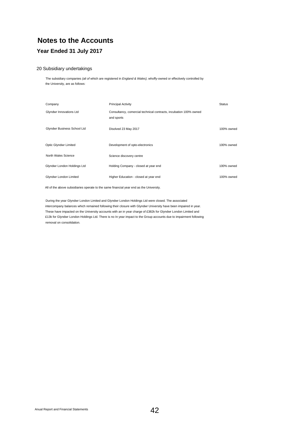# **Notes to the Accounts**

# **Year Ended 31 July 2017**

#### 20 Subsidiary undertakings

The subsidiary companies *(ali of* which are registered in *England & Wales},* whoffy-owned or effectively controlled by the University, are as follows:

| Company                     | <b>Principal Activity</b>                                                       | <b>Status</b> |
|-----------------------------|---------------------------------------------------------------------------------|---------------|
| Glyndwr Innovations Ltd     | Consultancy, comercial technical contracts, incubation 100% owned<br>and sports |               |
| Glyndwr Business School Ltd | Disolved 23 May 2017                                                            | 100% owned    |
| Optic Glyndwr Limited       | Development of opto-electronics                                                 | 100% owned    |
| North Wales Science         | Science discovery centre                                                        |               |
| Glyndwr London Holdings Ltd | Holding Company - closed at year end                                            | 100% owned    |
| Glyndwr London Limited      | Higher Education - closed at year end                                           | 100% owned    |

All of the above subsidiaries operate to the same financial year end as the University.

During the year Glyndwr London Limited and Glyndwr London Holdings Ltd were closed. The associated intercompany balances which remained following their closure with Glyndwr University have been impaired in year. These have impacted on the University accounts with an in year charge of £382k for Glyndwr London Limited and £13k for Glyndwr London Holdings Ltd. There is no In year impact to the Group accounts due to impairment following removal on consolidation.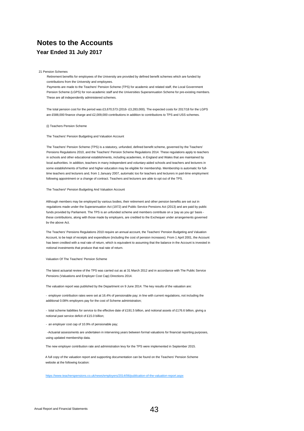21 Pension Schemes

Retirement benefits for employees of the University are provided by defined benefit schemes which are funded by contributions from the University and employees.

Payments are made to the Teachers' Pension Scheme (TPS) for academic and related staff, the Local Government Pension Scheme (LGPS) for non-academic staff and the Universities Superannuation Scheme for pre-existing members. These are all independently administered schemes.

The total pension cost for the period was £3,670,573 (2016- £3,283,000). The expected costs for 2017/18 for the LGPS are £588,000 finance charge and £2,009,000 contributions in addition to contributions to TPS and USS schemes.

(i) Teachers Pension Scheme

The Teachers' Pension Budgeting and Valuation Account

The Teachers' Pension Scheme (TPS) is a statutory, unfunded, defined benefit scheme, governed by the Teachers' Pensions Regulations 2010, and the Teachers' Pension Scheme Regulations 2014. These regulations apply to teachers in schools and other educational establishments, including academies, in England and Wales that are maintained by local authorities. In addition, teachers in many independent and voluntary-aided schools and teachers and lecturers in some establishments of further and higher education may be eligible for membership. Membership is automatic for fulltime teachers and lecturers and, from 1 January 2007, automatic too for teachers and lecturers in part-time employment following appointment or a change of contract. Teachers and lecturers are able to opt out of the TPS.

#### The Teachers\* Pension Budgeting And Valuation Account

Although members may be employed by various bodies, their retirement and other pension benefits are set out in regulations made under the Superannuation Act (1972) and Public Service Pensions Act (2013) and are paid by public funds provided by Parliament. The TPS is an unfunded scheme and members contribute on a 'pay as you go' basis these contributions, along with those made by employers, are credited to the Exchequer under arrangements governed bv the above Act.

The Teachers' Pensions Regulations 2010 require an annual account, the Teachers' Pension Budgeting and Valuation Account, to be kept of receipts and expenditure (including the cost of pension increases). From 1 April 2001, the Account has been credited with a real rate of return, which is equivalent to assuming that the balance in the Account is invested in notional investments that produce that real rate of return.

#### Valuation Of The Teachers' Pension Scheme

The latest actuarial review of the TPS was carried out as at 31 March 2012 and in accordance with The Public Service Pensions (Valuations and Employer Cost Cap) Directions 2014.

The valuation report was published by the Department on 9 June 2014. The key results of the valuation are:

- employer contribution rates were set at 16.4% of pensionable pay; in line with current regulations, not including the additional 0.08% employers pay for the cost of Scheme administration;

- total scheme liabilities for service to the effective date of £191.5 billion, and notional assets of £176.6 billion, giving a notional past service deficit of £15.0 billion;

- an employer cost cap of 10.9% of pensionable pay;

- Actuarial assessments are undertaken in intervening years between formal valuations for financial reporting purposes, using updated membership data.

The new employer contribution rate and administration levy for the TPS were implemented in September 2015.

A full copy of the valuation report and supporting documentation can be found on the Teachers' Pension Scheme website at the following location:

<https://www.teacherspensions.co.uk/news/employers/2014/06/publication-of-the-valuation-report.aspx>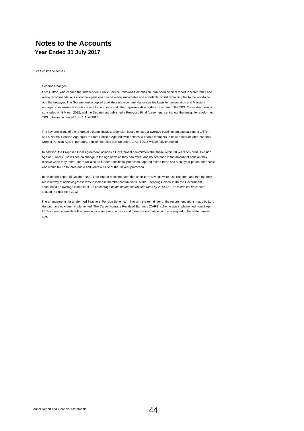*21 Pension Schemes*

#### Scheme Changes

Lord Hutton, who chaired the Independent Public Service Pensions Commission, published his final report in March 2011 and made recommendations about how pensions can be made sustainable and affordable, whilst remaining fair to the workforce and the taxpayer. The Government accepted Lord Hutton's recommendations as the basis for consultation and Ministers engaged in extensive discussions with trade unions and other representative bodies on reform of the TPS. Those discussions concluded on 9 March 2012, and the Department published a Proposed Final Agreement, setting out the design for a reformed TPS to be implemented from 1 April 2015.

The key provisions of the reformed scheme include: a pension based on career average earnings; an accrual rate of 1/57th; and a Normal Pension Age equal to State Pension Age, but with options to enable members to retire earlier or later than their Normal Pension Age. Importantly, pension benefits built up before 1 April 2015 will be fully protected.

In addition, the Proposed Final Agreement includes a Government commitment that those within 10 years of Normal Pension Age on 1 April 2012 will see no change to the age at which they can retire, and no decrease in the amount of pension they receive when they retire. There will also be further transitional protection, tapered over a three and a half year period, for people who would fall up to three and a half years outside of the 10 year protection.

In his interim report of October 2010, Lord Hutton recommended that short-term savings were also required, and that the only realistic way of achieving these was to increase member contributions. At the Spending Review 2010 the Government announced an average increase of 3.2 percentage *points on the contribution rates by 2014-15.* The *increases have been* phased in since April 2012.

The arrangements for a reformed Teachers' Pension Scheme, in line with the remainder of the recommendations made by Lord Hutton, have now been implemented. The Career Average Revalued Earnings (CARE) scheme was implemented from 1 April 2015, whereby benefits will accrue on a career average basis and there is a normal pension age aligned to the state pension age.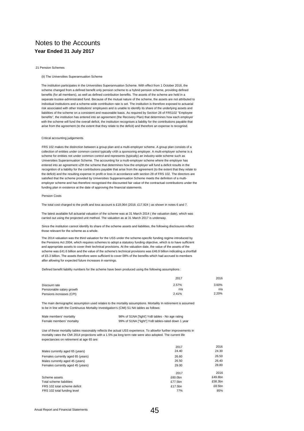#### 21 Pension Schemes

#### (ii) The Universities Superannuation Scheme

The institution participates in the Universities Superannuation Scheme. With effect from 1 October 2016, the scheme changed from a defined benefit only pension scheme to a hybrid pension scheme, providing defined benefits (for all members), as well as defined contribution benefits. The assets of the scheme are held in a separate trustee-administrated fund. Because of the mutual nature of the scheme, the assets are not attributed to individual institutions and a scheme-wide contribution rate is set. The institution is therefore exposed to actuarial risk associated with other Institutions' employees and is unable to identify its share of the underlying assets and liabilities of the scheme on a consistent and reasonable basis. As required by Section 28 of FRS102 "Employee benefits", the institution has entered into an agreement (the Recovery Plan) that determines how each employer with the scheme will fund the overall deficit, the institution recognises a liability for the contributions payable that arise from the agreement (to the extent that they relate to the deficit) and therefore an expense Is recognisd.

#### Critical accounting judgements

FRS 102 makes the distinction between a group plan and a multi-employer scheme. A group plan consists of a collection of entities under common control typically vXth a sponsoring employer. A mulit-employer scheme is a scheme for entities not under common control and represents (typically) an industry-wide scheme such as Universities Superannuation Scheme. The accounting for a multi-employer scheme where the employer has entered into an agreement vZth the scheme that determines how the employer will fund a deficit results in the recognition of a liability for the contributions payable that arise from the agreement (to the extent that they relate to the deficit) and the resulting expense In profit or loss in accordance with section 28 of FRS 102. The directors are satisfied that the scheme provided by Universities Supperannuation Scheme meets the definition of a multiemployer scheme and has therefore recognised the discounted fair value of the contractual contributions under the funding plan in existence at the date of approving the financial statements.

#### Pension Costs

The total cost charged to the profit and loss account is £18,064 (2016: £17,924 ) as shown in notes 6 and 7.

The latest available full actuarial valuation of the scheme was at 31 March 2014 ( the valuation date), which was carried out using the projected unit method. The valuation as at 31 March 2017 is underway.

Since the institution cannot identify its share of the scheme assets and liabilities, the following disclosures reflect those relevant for the scheme as a whole.

The 2014 valuation was the third valuation for the USS under the scheme-specific funding regime introduced by the Pensions Act 2004, which requires schemes to adopt a statutory funding objective, which is to have sufficient and appropriate assets to cover their technical provisions. At the valuation date, the value of the assets of the scheme was £41.6 billion and the value of the scheme's technical provisions was £46.9 billion indicating a shortfall of £5.3 billion. The assets therefore were sufficient to cover 09% of the benefits which had accrued to members after allowing for expected future increases in earnings.

Defined benefit liability numbers for the scheme have been produced using the following assumptions :

|                           | 2017  | 2016  |
|---------------------------|-------|-------|
| Discount rate             | 2.57% | 3.60% |
| Pensionable salary growth | n/a   | n/a   |
| Pensions increases (CPI)  | 2.41% | 2.20% |

The main demographic assumption used relates to the mortality assumptions. Mortailily In retirement is assumed to be in line with the Continuous Mortality Investigation's (CMI) S1 NA tables as follows:

| Male members' mortality   | 98% of S1NA ['light'] YoB tables - No age rating   |
|---------------------------|----------------------------------------------------|
| Female members' mortality | 99% of S1NA ["light"] YoB tables-rated down 1 year |

Use of these mortality tables reasonably reflects the actual USS experience. To allowfor further improvements in mortality rates the CMI 2014 projections with a 1.5% pa long term rate were also adopted. The current life expectancies on retirement at age 65 are:

|                                   | 2017    | 2016    |
|-----------------------------------|---------|---------|
| Males currently aged 65 (years)   | 24.40   | 24.30   |
| Females currently aged 65 (years) | 26.60   | 26.50   |
| Males currently aged 45 (years)   | 26.50   | 26.40   |
| Females currently aged 45 (years) | 29.00   | 28.80   |
|                                   | 2017    | 2016    |
| Scheme assets                     | £60.0bn | £49.8bn |
| Total scheme liabilities          | £77.5bn | £58.3bn |
| FRS 102 total scheme deficit      | £17.5bn | £8.5bn  |
| FRS 102 total funding level       | 77%     | 85%     |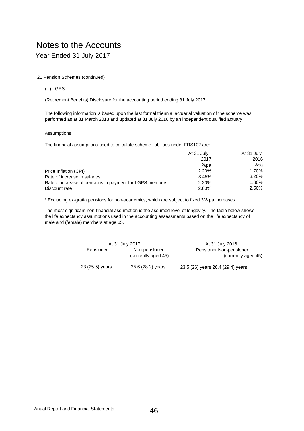#### 21 Pension Schemes (continued)

#### (iii) LGPS

(Retirement Benefits) Disclosure for the accounting period ending 31 July 2017

The following information is based upon the last formal triennial actuarial valuation of the scheme was performed as at 31 March 2013 and updated at 31 July 2016 by an independent qualified actuary.

#### Assumptions

The financial assumptions used to calculate scheme liabilities under FRS102 are:

|                                                          | At 31 July | At 31 July |
|----------------------------------------------------------|------------|------------|
|                                                          | 2017       | 2016       |
|                                                          | %pa        | %pa        |
| Price Inflation (CPI)                                    | 2.20%      | 1.70%      |
| Rate of increase in salaries                             | 3.45%      | 3.20%      |
| Rate of increase of pensions in payment for LGPS members | 2.20%      | 1.80%      |
| Discount rate                                            | 2.60%      | 2.50%      |

\* Excluding ex-gratia pensions for non-academics, which are subject to fixed 3% pa increases.

The most significant non-financial assumption is the assumed level of longevity. The table below shows the life expectancy assumptions used in the accounting assessments based on the life expectancy of male and (female) members at age 65.

| At 31 July 2017 |                     | At 31 July 2016                   |
|-----------------|---------------------|-----------------------------------|
| Pensioner       | Non-pensloner       | Pensioner Non-pensloner           |
|                 | (currently aged 45) | (currently aged 45)               |
| 23 (25.5) years | 25.6 (28.2) years   | 23.5 (26) years 26.4 (29.4) years |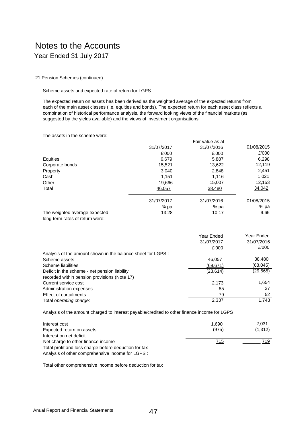21 Pension Schemes (continued)

Scheme assets and expected rate of return for LGPS

The expected return on assets has been derived as the weighted average of the expected returns from each of the main asset classes (i.e. equities and bonds). The expected return for each asset class reflects a combination of historical performance analysis, the forward looking views of the financial markets (as suggested by the yields available) and the views of investment organisations.

The assets in the scheme were:

|                                                                  |            | Fair value as at |            |
|------------------------------------------------------------------|------------|------------------|------------|
|                                                                  | 31/07/2017 | 31/07/2016       | 01/08/2015 |
|                                                                  | £'000      | £'000            | £'000      |
| Equities                                                         | 6,679      | 5,887            | 6,298      |
| Corporate bonds                                                  | 15,521     | 13.622           | 12,119     |
| Property                                                         | 3,040      | 2,848            | 2,451      |
| Cash                                                             | 1,151      | 1,116            | 1,021      |
| Other                                                            | 19,666     | 15.007           | 12,153     |
| Total                                                            | 46,057     | 38,480           | 34,042     |
|                                                                  | 31/07/2017 | 31/07/2016       | 01/08/2015 |
|                                                                  | % pa       | % pa             | % pa       |
| The weighted average expected<br>long-term rates of return were: | 13.28      | 10.17            | 9.65       |

|                                                              | Year Ended<br>31/07/2017 | Year Ended<br>31/07/2016 |
|--------------------------------------------------------------|--------------------------|--------------------------|
|                                                              | £'000                    | £'000                    |
| Analysis of the amount shown in the balance sheet for LGPS : |                          |                          |
| Scheme assets                                                | 46,057                   | 38,480                   |
| Scheme liabilities                                           | (69, 671)                | (68, 045)                |
| Deficit in the scheme - net pension liability                | (23, 614)                | (29, 565)                |
| recorded within pension provisions (Note 17)                 |                          |                          |
| Current service cost                                         | 2,173                    | 1,654                    |
| Administration expenses                                      | 85                       | 37                       |
| <b>Effect of curtailments</b>                                | 79                       | 52                       |
| Total operating charge:                                      | 2,337                    | 1.743                    |

Analysis of the amount charged to interest payable/credited to other finance income for LGPS

| Interest cost<br>Expected return on assets<br>Interest on net deficit | 1.690<br>(975)<br>$\overline{\phantom{0}}$ | 2.031<br>(1,312) |
|-----------------------------------------------------------------------|--------------------------------------------|------------------|
| Net charge to other finance income                                    | 715                                        | 719              |
| Total profit and loss charge before deduction for tax                 |                                            |                  |

Analysis of other comprehensive income for LGPS :

Total other comprehensive income before deduction for tax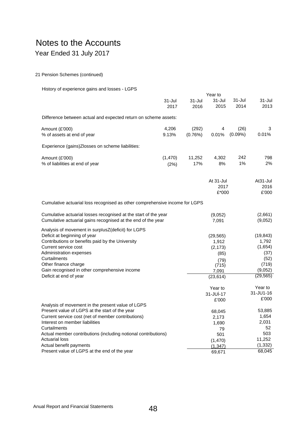# Notes to the Accounts

# Year Ended 31 July 2017

## 21 Pension Schemes (continued)

## History of experience gains and losses - LGPS

|                                                                                                                                                                                                                                                                                    | Year to            |                    |                                                                  |                    |                                                                   |
|------------------------------------------------------------------------------------------------------------------------------------------------------------------------------------------------------------------------------------------------------------------------------------|--------------------|--------------------|------------------------------------------------------------------|--------------------|-------------------------------------------------------------------|
|                                                                                                                                                                                                                                                                                    | $31 -$ Jul<br>2017 | $31 -$ Jul<br>2016 | $31 -$ Jul<br>2015                                               | $31 -$ Jul<br>2014 | 31-Jul<br>2013                                                    |
| Difference between actual and expected return on scheme assets:                                                                                                                                                                                                                    |                    |                    |                                                                  |                    |                                                                   |
| Amount (£'000)<br>% of assets at end of year                                                                                                                                                                                                                                       | 4,206<br>9.13%     | (292)<br>(0.76%)   | 4<br>0.01%                                                       | (26)<br>$(0.09\%)$ | 3<br>0.01%                                                        |
| Experience (gains)Zlosses on scheme liabilities:                                                                                                                                                                                                                                   |                    |                    |                                                                  |                    |                                                                   |
| Amount (£'000)<br>% of liabilities at end of year                                                                                                                                                                                                                                  | (1, 470)<br>(2%)   | 11,252<br>17%      | 4,302<br>8%                                                      | 242<br>1%          | 798<br>2%                                                         |
|                                                                                                                                                                                                                                                                                    |                    |                    | At 31-Jul<br>2017<br>$£*000$                                     |                    | At <sub>31</sub> -Jul<br>2016<br>£'000                            |
| Cumulative actuarial loss recognised as other comprehensive income for LGPS                                                                                                                                                                                                        |                    |                    |                                                                  |                    |                                                                   |
| Cumulative actuarial losses recognised at the start of the year<br>Cumulative actuarial gains recognised at the end of the year                                                                                                                                                    |                    |                    | (9,052)<br>7,091                                                 |                    | (2,661)<br>(9,052)                                                |
| Analysis of movement in surplusZ(deficit) for LGPS<br>Deficit at beginning of year<br>Contributions or benefits paid by the University<br>Current service cost<br>Administration expenses<br>Curtailments<br>Other finance charge<br>Gain recognised in other comprehensive income |                    |                    | (29, 565)<br>1,912<br>(2, 173)<br>(85)<br>(79)<br>(715)<br>7,091 |                    | (19, 843)<br>1,792<br>(1,654)<br>(37)<br>(52)<br>(719)<br>(9,052) |
| Deficit at end of year                                                                                                                                                                                                                                                             |                    |                    | (23, 614)                                                        |                    | (29, 565)<br>Year to                                              |
|                                                                                                                                                                                                                                                                                    |                    |                    | Year to<br>$31 - JU - 17$<br>£'000                               |                    | 31-JU1-16<br>£'000                                                |
| Analysis of movement in the present value of LGPS<br>Present value of LGPS at the start of the year<br>Current service cost (net of member contributions)<br>Interest on member liabilities<br>Curtailments                                                                        |                    |                    | 68,045<br>2,173<br>1,690<br>79                                   |                    | 53,885<br>1,654<br>2,031<br>52                                    |
| Actual member contributions (including notional contributions)<br><b>Actuarial loss</b><br>Actual benefit payments                                                                                                                                                                 |                    |                    | 501<br>(1,470)<br>(1, 347)                                       |                    | 503<br>11,252<br>(1, 332)                                         |
| Present value of LGPS at the end of the year                                                                                                                                                                                                                                       |                    |                    | 69,671                                                           |                    | 68,045                                                            |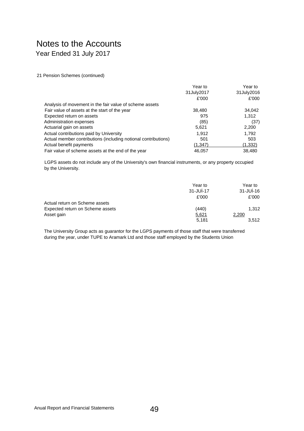21 Pension Schemes (continued)

|                                                                | Year to    | Year to    |
|----------------------------------------------------------------|------------|------------|
|                                                                | 31July2017 | 31July2016 |
|                                                                | £'000      | £'000      |
| Analysis of movement in the fair value of scheme assets        |            |            |
| Fair value of assets at the start of the year                  | 38,480     | 34,042     |
| Expected return on assets                                      | 975        | 1,312      |
| Administration expenses                                        | (85)       | (37)       |
| Actuarial gain on assets                                       | 5,621      | 2,200      |
| Actual contributions paid by University                        | 1.912      | 1,792      |
| Actual member contributions (including notional contributions) | 501        | 503        |
| Actual benefit payments                                        | (1,347)    | (1,332)    |
| Fair value of scheme assets at the end of the year             | 46.057     | 38.480     |

LGPS assets do not include any of the University's own financial instruments, or any property occupied by the University.

|                                  | Year to        | Year to        |
|----------------------------------|----------------|----------------|
|                                  | $31 - JU - 17$ | $31 - JU - 16$ |
|                                  | £'000          | £'000          |
| Actual return on Scheme assets   |                |                |
| Expected return on Scheme assets | (440)          | 1.312          |
| Asset gain                       | 5,621          | 2,200          |
|                                  | 5.181          | 3.512          |

The University Group acts as guarantor for the LGPS payments of those staff that were transferred during the year, under TUPE to Aramark Ltd and those staff employed by the Students Union